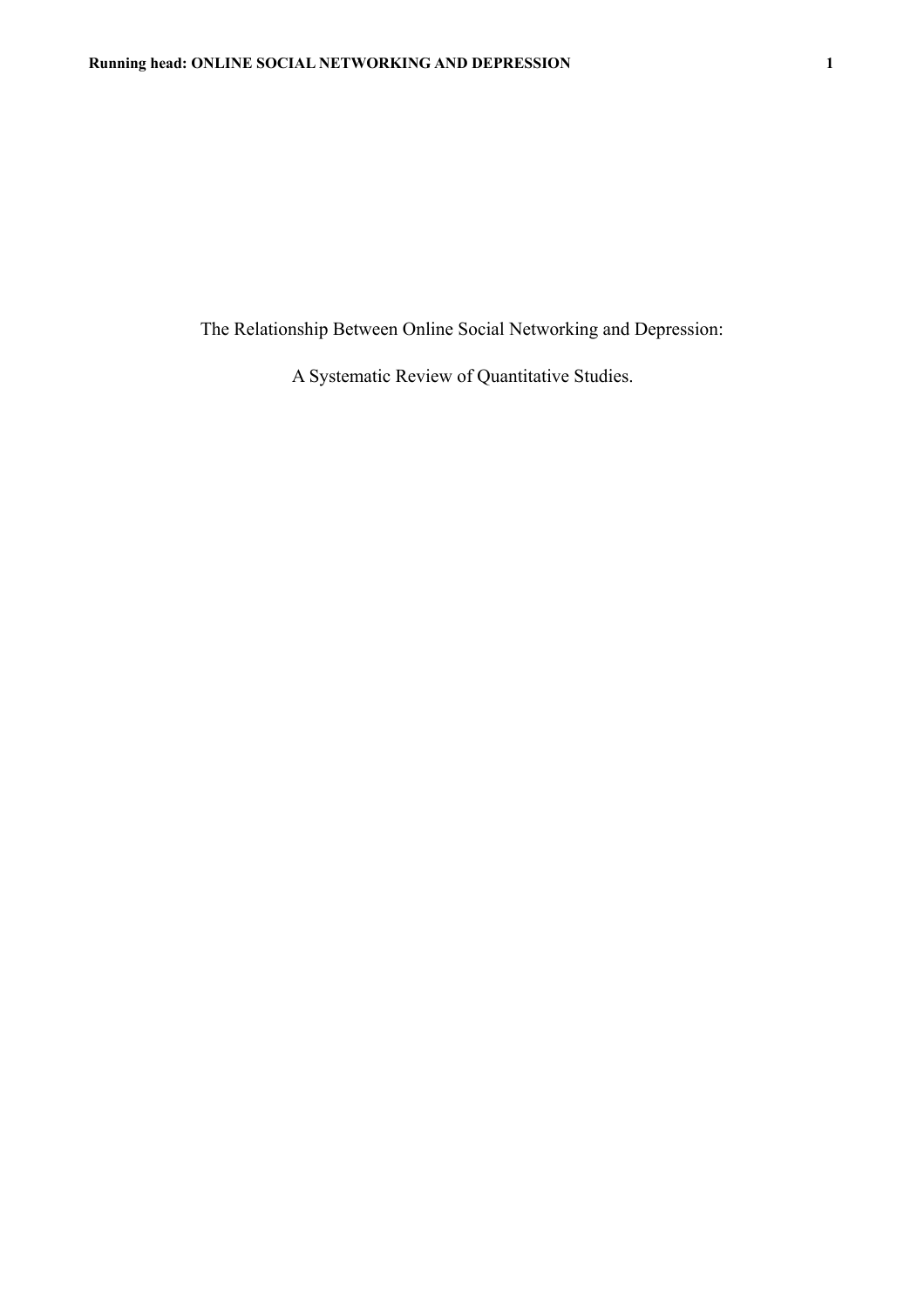The Relationship Between Online Social Networking and Depression:

A Systematic Review of Quantitative Studies.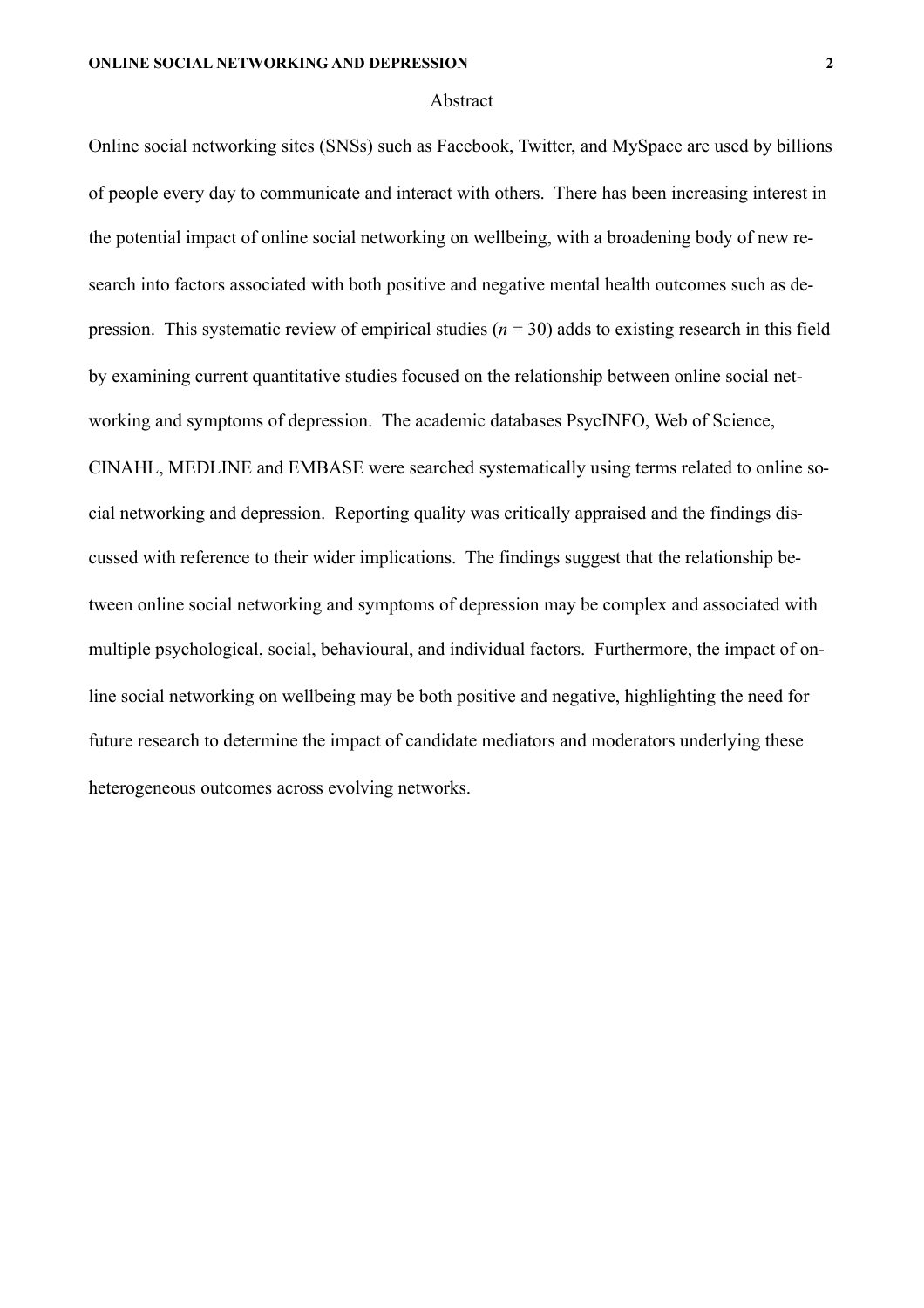#### Abstract

Online social networking sites (SNSs) such as Facebook, Twitter, and MySpace are used by billions of people every day to communicate and interact with others. There has been increasing interest in the potential impact of online social networking on wellbeing, with a broadening body of new research into factors associated with both positive and negative mental health outcomes such as depression. This systematic review of empirical studies  $(n = 30)$  adds to existing research in this field by examining current quantitative studies focused on the relationship between online social networking and symptoms of depression. The academic databases PsycINFO, Web of Science, CINAHL, MEDLINE and EMBASE were searched systematically using terms related to online social networking and depression. Reporting quality was critically appraised and the findings discussed with reference to their wider implications. The findings suggest that the relationship between online social networking and symptoms of depression may be complex and associated with multiple psychological, social, behavioural, and individual factors. Furthermore, the impact of online social networking on wellbeing may be both positive and negative, highlighting the need for future research to determine the impact of candidate mediators and moderators underlying these heterogeneous outcomes across evolving networks.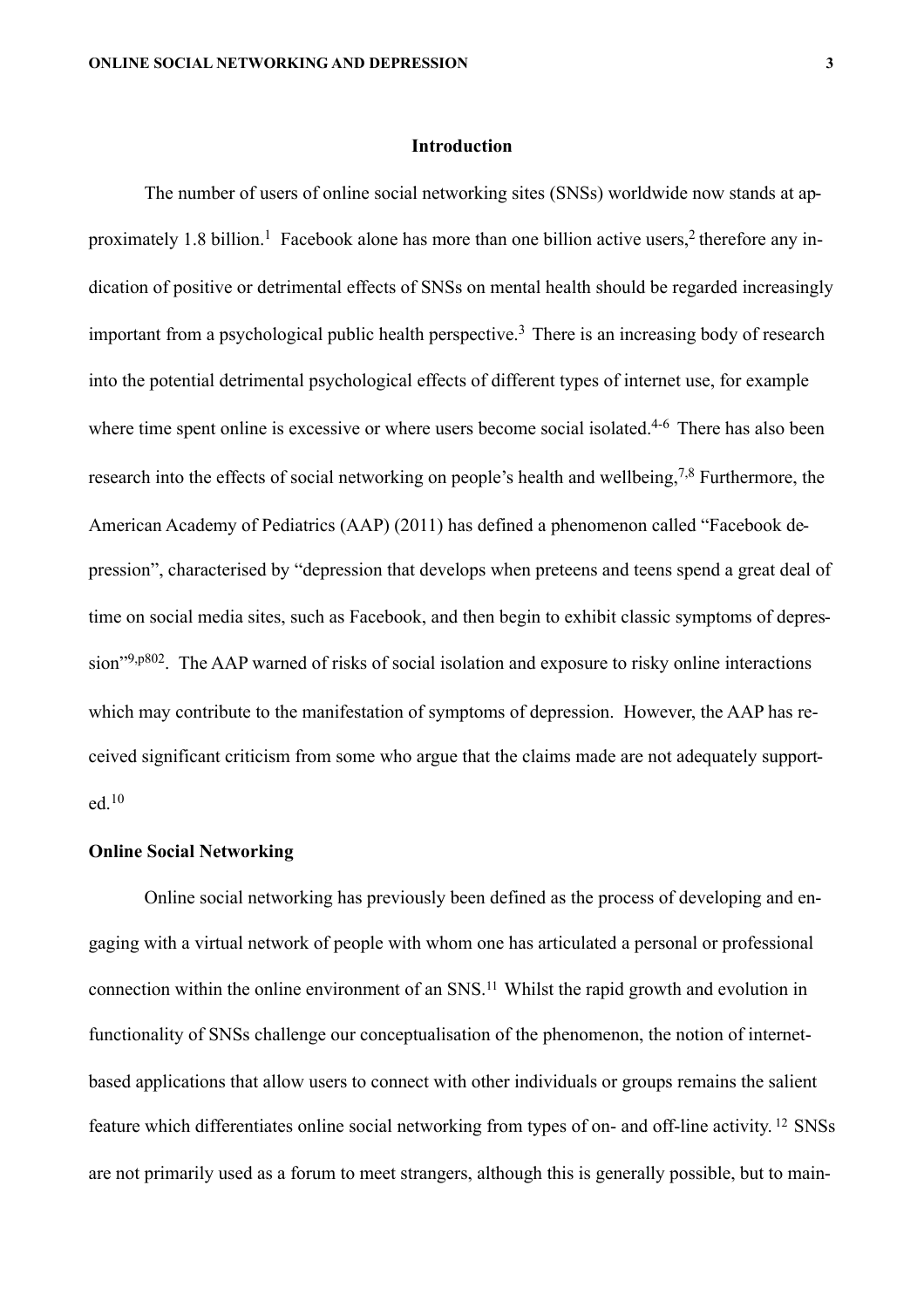# **Introduction**

 The number of users of online social networking sites (SNSs) worldwide now stands at approximately 1.8 billion.<sup>1</sup> Facebook alone has more than one billion active users,<sup>2</sup> therefore any indication of positive or detrimental effects of SNSs on mental health should be regarded increasingly important from a psychological public health perspective.<sup>3</sup> There is an increasing body of research into the potential detrimental psychological effects of different types of internet use, for example where time spent online is excessive or where users become social isolated.<sup>4-6</sup> There has also been research into the effects of social networking on people's health and wellbeing,<sup>7,8</sup> Furthermore, the American Academy of Pediatrics (AAP) (2011) has defined a phenomenon called "Facebook depression", characterised by "depression that develops when preteens and teens spend a great deal of time on social media sites, such as Facebook, and then begin to exhibit classic symptoms of depression"9,p802. The AAP warned of risks of social isolation and exposure to risky online interactions which may contribute to the manifestation of symptoms of depression. However, the AAP has received significant criticism from some who argue that the claims made are not adequately supported.10

#### **Online Social Networking**

Online social networking has previously been defined as the process of developing and engaging with a virtual network of people with whom one has articulated a personal or professional connection within the online environment of an SNS.11 Whilst the rapid growth and evolution in functionality of SNSs challenge our conceptualisation of the phenomenon, the notion of internetbased applications that allow users to connect with other individuals or groups remains the salient feature which differentiates online social networking from types of on- and off-line activity. 12 SNSs are not primarily used as a forum to meet strangers, although this is generally possible, but to main-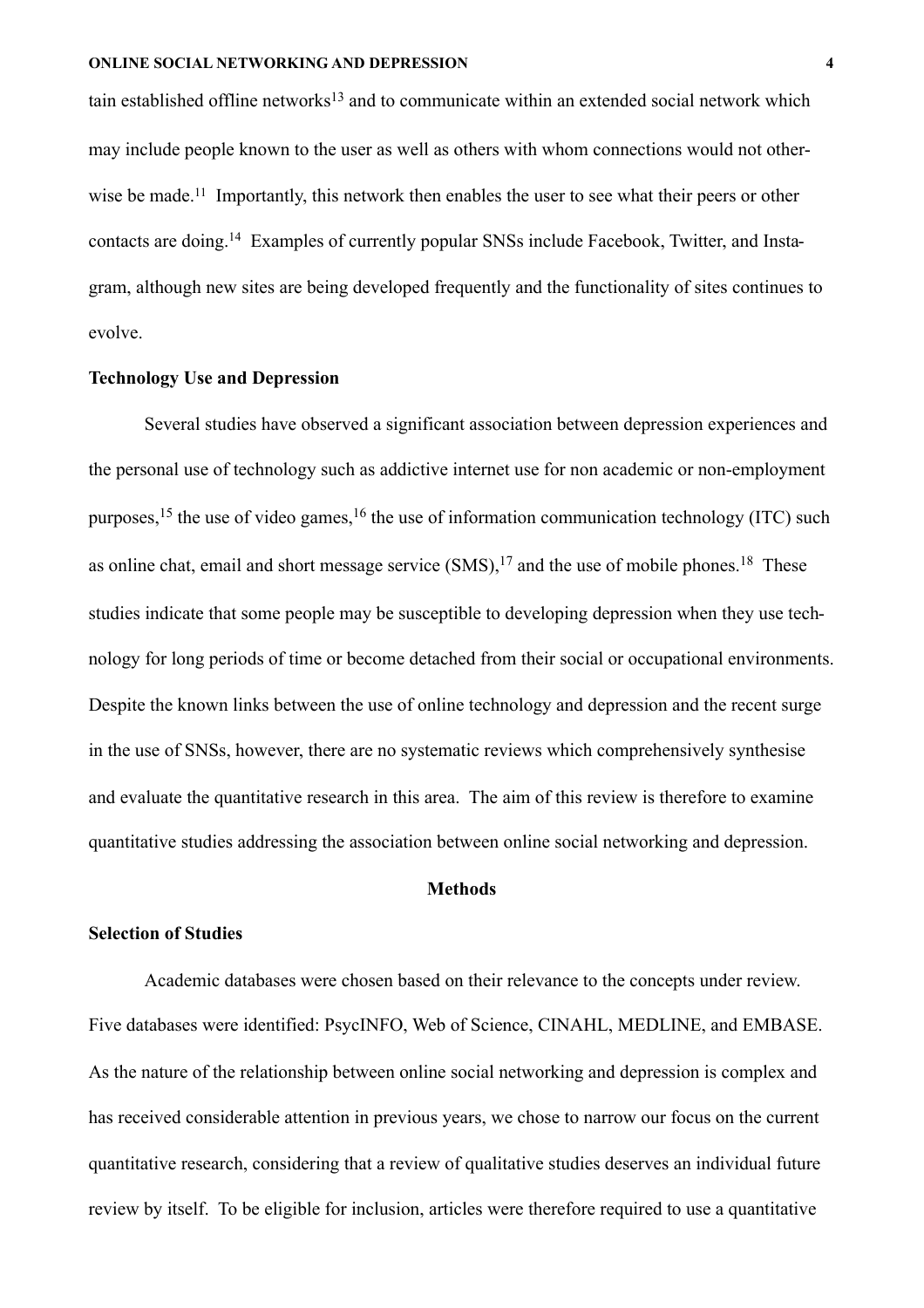tain established offline networks<sup>13</sup> and to communicate within an extended social network which may include people known to the user as well as others with whom connections would not otherwise be made.<sup>11</sup> Importantly, this network then enables the user to see what their peers or other contacts are doing.14 Examples of currently popular SNSs include Facebook, Twitter, and Instagram, although new sites are being developed frequently and the functionality of sites continues to evolve.

## **Technology Use and Depression**

 Several studies have observed a significant association between depression experiences and the personal use of technology such as addictive internet use for non academic or non-employment purposes,<sup>15</sup> the use of video games,<sup>16</sup> the use of information communication technology (ITC) such as online chat, email and short message service  $(SMS)$ ,  $^{17}$  and the use of mobile phones.<sup>18</sup> These studies indicate that some people may be susceptible to developing depression when they use technology for long periods of time or become detached from their social or occupational environments. Despite the known links between the use of online technology and depression and the recent surge in the use of SNSs, however, there are no systematic reviews which comprehensively synthesise and evaluate the quantitative research in this area. The aim of this review is therefore to examine quantitative studies addressing the association between online social networking and depression.

#### **Methods**

## **Selection of Studies**

Academic databases were chosen based on their relevance to the concepts under review. Five databases were identified: PsycINFO, Web of Science, CINAHL, MEDLINE, and EMBASE. As the nature of the relationship between online social networking and depression is complex and has received considerable attention in previous years, we chose to narrow our focus on the current quantitative research, considering that a review of qualitative studies deserves an individual future review by itself. To be eligible for inclusion, articles were therefore required to use a quantitative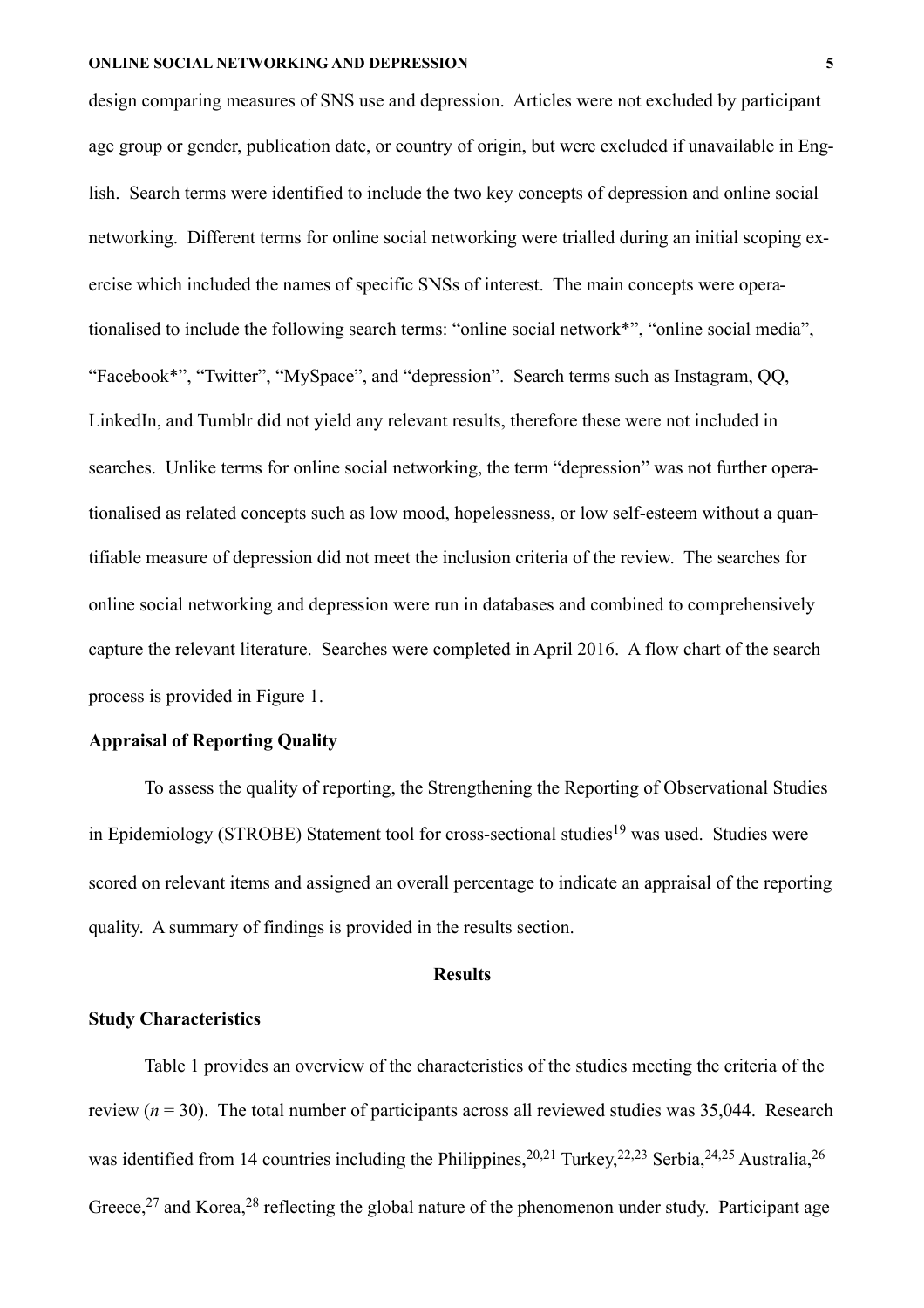design comparing measures of SNS use and depression. Articles were not excluded by participant age group or gender, publication date, or country of origin, but were excluded if unavailable in English. Search terms were identified to include the two key concepts of depression and online social networking. Different terms for online social networking were trialled during an initial scoping exercise which included the names of specific SNSs of interest. The main concepts were operationalised to include the following search terms: "online social network\*", "online social media", "Facebook\*", "Twitter", "MySpace", and "depression". Search terms such as Instagram, QQ, LinkedIn, and Tumblr did not yield any relevant results, therefore these were not included in searches. Unlike terms for online social networking, the term "depression" was not further operationalised as related concepts such as low mood, hopelessness, or low self-esteem without a quantifiable measure of depression did not meet the inclusion criteria of the review. The searches for online social networking and depression were run in databases and combined to comprehensively capture the relevant literature. Searches were completed in April 2016. A flow chart of the search process is provided in Figure 1.

# **Appraisal of Reporting Quality**

To assess the quality of reporting, the Strengthening the Reporting of Observational Studies in Epidemiology (STROBE) Statement tool for cross-sectional studies<sup>19</sup> was used. Studies were scored on relevant items and assigned an overall percentage to indicate an appraisal of the reporting quality. A summary of findings is provided in the results section.

## **Results**

## **Study Characteristics**

Table 1 provides an overview of the characteristics of the studies meeting the criteria of the review  $(n = 30)$ . The total number of participants across all reviewed studies was 35,044. Research was identified from 14 countries including the Philippines,<sup>20,21</sup> Turkey,<sup>22,23</sup> Serbia,<sup>24,25</sup> Australia,<sup>26</sup> Greece,<sup>27</sup> and Korea,<sup>28</sup> reflecting the global nature of the phenomenon under study. Participant age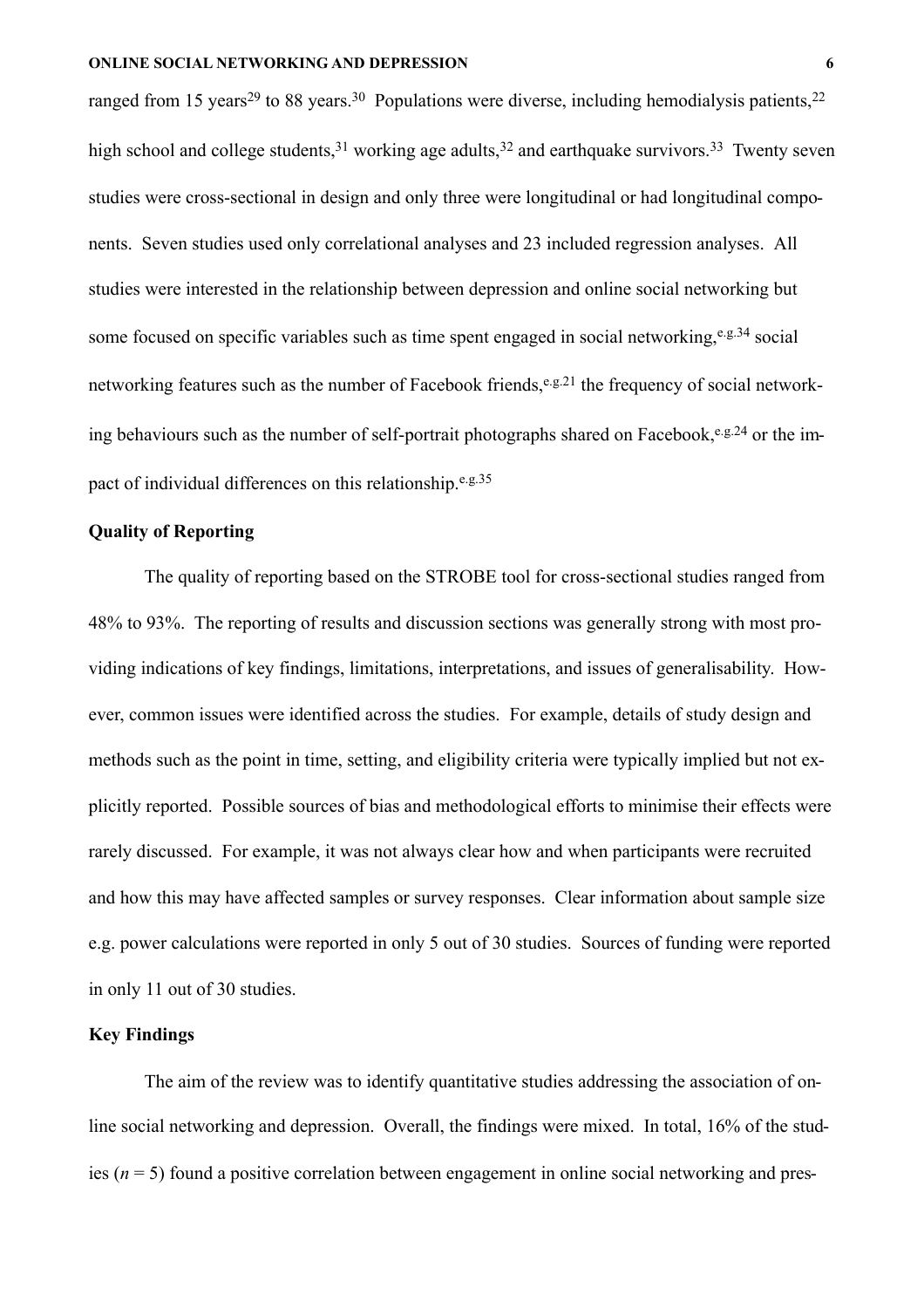ranged from 15 years<sup>29</sup> to 88 years.<sup>30</sup> Populations were diverse, including hemodialysis patients,<sup>22</sup> high school and college students,  $31$  working age adults,  $32$  and earthquake survivors.  $33$  Twenty seven studies were cross-sectional in design and only three were longitudinal or had longitudinal components. Seven studies used only correlational analyses and 23 included regression analyses.All studies were interested in the relationship between depression and online social networking but some focused on specific variables such as time spent engaged in social networking,  $e.g.34$  social networking features such as the number of Facebook friends,<sup>e.g.21</sup> the frequency of social networking behaviours such as the number of self-portrait photographs shared on Facebook,  $e.g. 24$  or the impact of individual differences on this relationship.<sup>e.g.35</sup>

## **Quality of Reporting**

The quality of reporting based on the STROBE tool for cross-sectional studies ranged from 48% to 93%. The reporting of results and discussion sections was generally strong with most providing indications of key findings, limitations, interpretations, and issues of generalisability. However, common issues were identified across the studies. For example, details of study design and methods such as the point in time, setting, and eligibility criteria were typically implied but not explicitly reported. Possible sources of bias and methodological efforts to minimise their effects were rarely discussed. For example, it was not always clear how and when participants were recruited and how this may have affected samples or survey responses. Clear information about sample size e.g. power calculations were reported in only 5 out of 30 studies. Sources of funding were reported in only 11 out of 30 studies.

## **Key Findings**

 The aim of the review was to identify quantitative studies addressing the association of online social networking and depression. Overall, the findings were mixed. In total, 16% of the studies (*n* = 5) found a positive correlation between engagement in online social networking and pres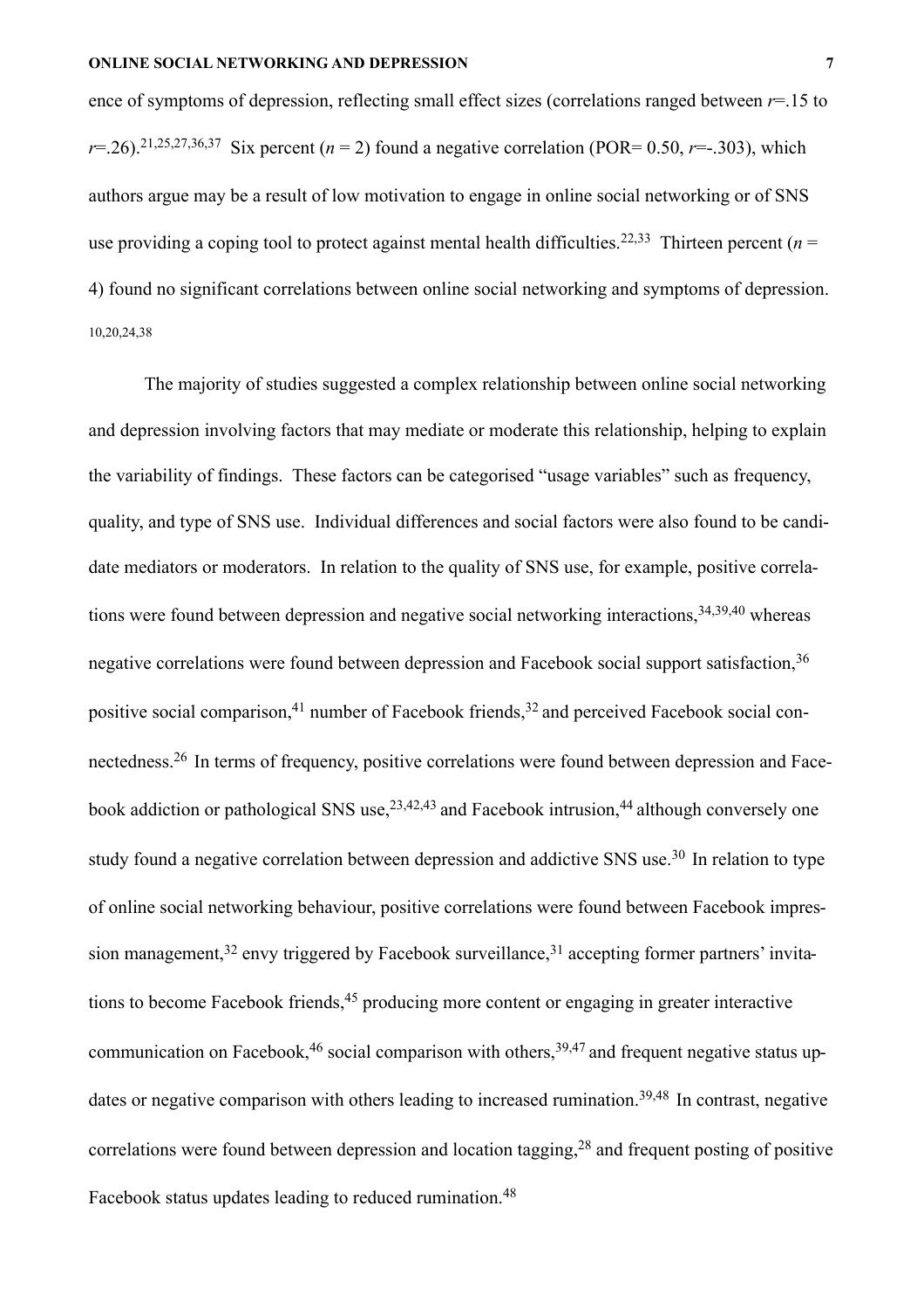ence of symptoms of depression, reflecting small effect sizes (correlations ranged between *r*=.15 to *r*=.26).<sup>21,25,27,36,37 Six percent (*n* = 2) found a negative correlation (POR= 0.50, *r*=-.303), which</sup> authors argue may be a result of low motivation to engage in online social networking or of SNS use providing a coping tool to protect against mental health difficulties.<sup>22,33</sup> Thirteen percent ( $n =$ 4) found no significant correlations between online social networking and symptoms of depression. 10,20,24,38

 The majority of studies suggested a complex relationship between online social networking and depression involving factors that may mediate or moderate this relationship, helping to explain the variability of findings. These factors can be categorised "usage variables" such as frequency, quality, and type of SNS use. Individual differences and social factors were also found to be candidate mediators or moderators. In relation to the quality of SNS use, for example, positive correlations were found between depression and negative social networking interactions,<sup>34,39,40</sup> whereas negative correlations were found between depression and Facebook social support satisfaction,<sup>36</sup> positive social comparison,<sup>41</sup> number of Facebook friends,<sup>32</sup> and perceived Facebook social connectedness.26 In terms of frequency, positive correlations were found between depression and Facebook addiction or pathological SNS use,  $2^{3,42,43}$  and Facebook intrusion,  $44$  although conversely one study found a negative correlation between depression and addictive SNS use.<sup>30</sup> In relation to type of online social networking behaviour, positive correlations were found between Facebook impression management,<sup>32</sup> envy triggered by Facebook surveillance,<sup>31</sup> accepting former partners' invitations to become Facebook friends,<sup>45</sup> producing more content or engaging in greater interactive communication on Facebook,  $46$  social comparison with others,  $39,47$  and frequent negative status updates or negative comparison with others leading to increased rumination.<sup>39,48</sup> In contrast, negative correlations were found between depression and location tagging,  $28$  and frequent posting of positive Facebook status updates leading to reduced rumination.<sup>48</sup>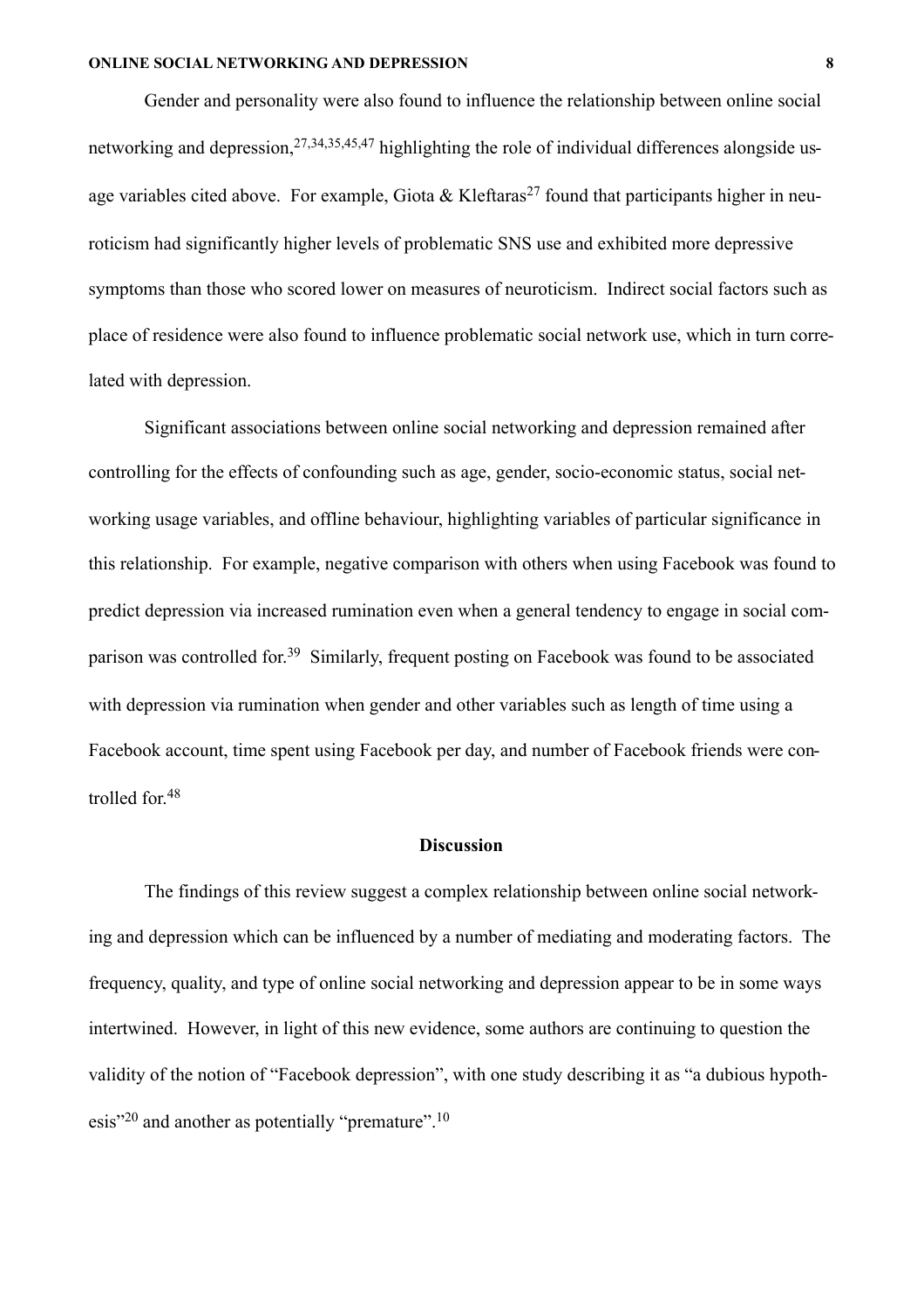Gender and personality were also found to influence the relationship between online social networking and depression, <sup>27,34,35,45,47</sup> highlighting the role of individual differences alongside usage variables cited above. For example, Giota & Kleftaras<sup>27</sup> found that participants higher in neuroticism had significantly higher levels of problematic SNS use and exhibited more depressive symptoms than those who scored lower on measures of neuroticism. Indirect social factors such as place of residence were also found to influence problematic social network use, which in turn correlated with depression.

Significant associations between online social networking and depression remained after controlling for the effects of confounding such as age, gender, socio-economic status, social networking usage variables, and offline behaviour, highlighting variables of particular significance in this relationship. For example, negative comparison with others when using Facebook was found to predict depression via increased rumination even when a general tendency to engage in social comparison was controlled for.39 Similarly, frequent posting on Facebook was found to be associated with depression via rumination when gender and other variables such as length of time using a Facebook account, time spent using Facebook per day, and number of Facebook friends were controlled for.48

#### **Discussion**

The findings of this review suggest a complex relationship between online social networking and depression which can be influenced by a number of mediating and moderating factors. The frequency, quality, and type of online social networking and depression appear to be in some ways intertwined. However, in light of this new evidence, some authors are continuing to question the validity of the notion of "Facebook depression", with one study describing it as "a dubious hypothesis"<sup>20</sup> and another as potentially "premature".  $10$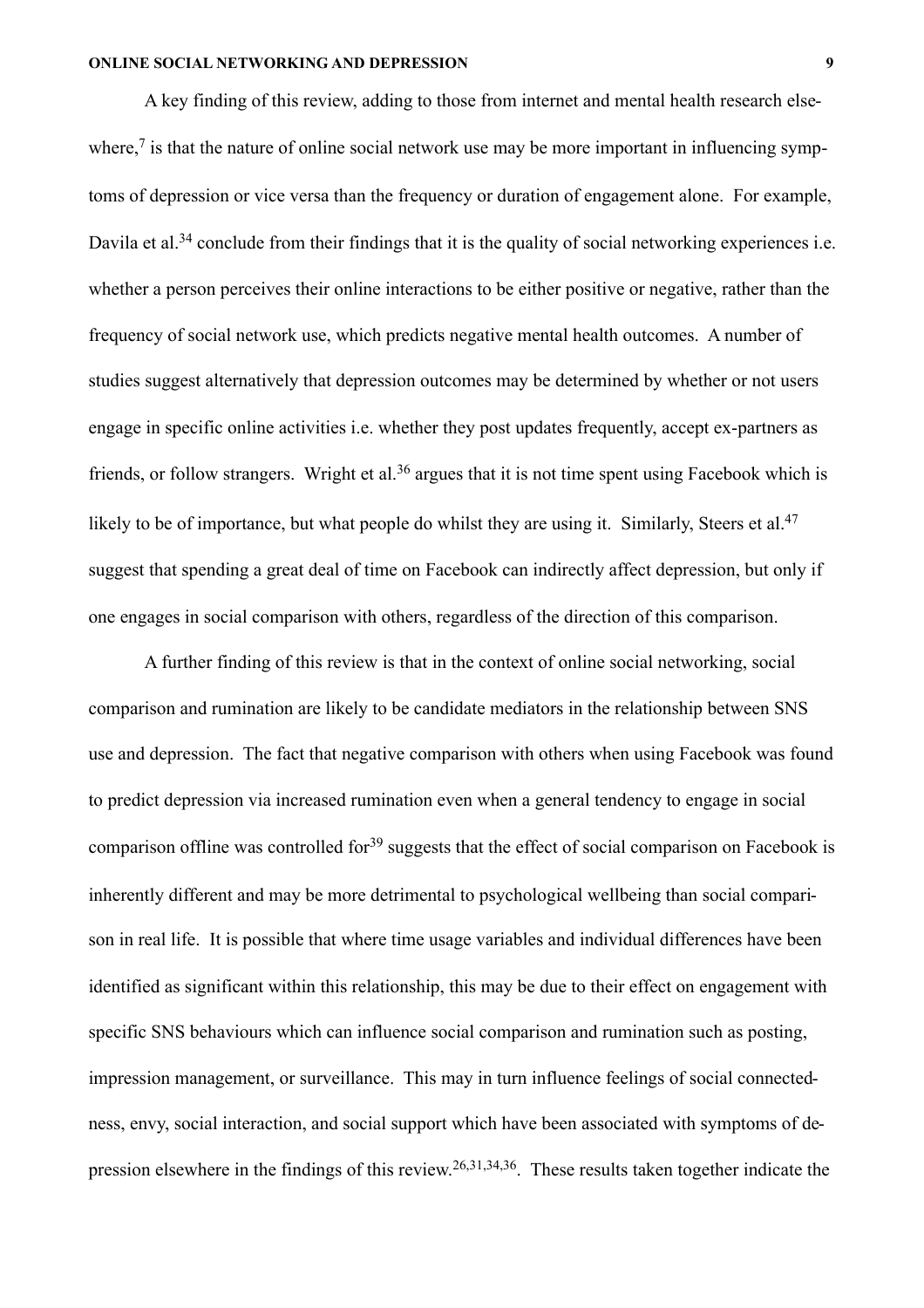A key finding of this review, adding to those from internet and mental health research elsewhere, $\frac{7}{1}$  is that the nature of online social network use may be more important in influencing symptoms of depression or vice versa than the frequency or duration of engagement alone. For example, Davila et al.<sup>34</sup> conclude from their findings that it is the quality of social networking experiences i.e. whether a person perceives their online interactions to be either positive or negative, rather than the frequency of social network use, which predicts negative mental health outcomes. A number of studies suggest alternatively that depression outcomes may be determined by whether or not users engage in specific online activities i.e. whether they post updates frequently, accept ex-partners as friends, or follow strangers. Wright et al.<sup>36</sup> argues that it is not time spent using Facebook which is likely to be of importance, but what people do whilst they are using it. Similarly, Steers et al.<sup>47</sup> suggest that spending a great deal of time on Facebook can indirectly affect depression, but only if one engages in social comparison with others, regardless of the direction of this comparison.

A further finding of this review is that in the context of online social networking, social comparison and rumination are likely to be candidate mediators in the relationship between SNS use and depression. The fact that negative comparison with others when using Facebook was found to predict depression via increased rumination even when a general tendency to engage in social comparison offline was controlled for<sup>39</sup> suggests that the effect of social comparison on Facebook is inherently different and may be more detrimental to psychological wellbeing than social comparison in real life. It is possible that where time usage variables and individual differences have been identified as significant within this relationship, this may be due to their effect on engagement with specific SNS behaviours which can influence social comparison and rumination such as posting, impression management, or surveillance. This may in turn influence feelings of social connectedness, envy, social interaction, and social support which have been associated with symptoms of depression elsewhere in the findings of this review.26,31,34,36. These results taken together indicate the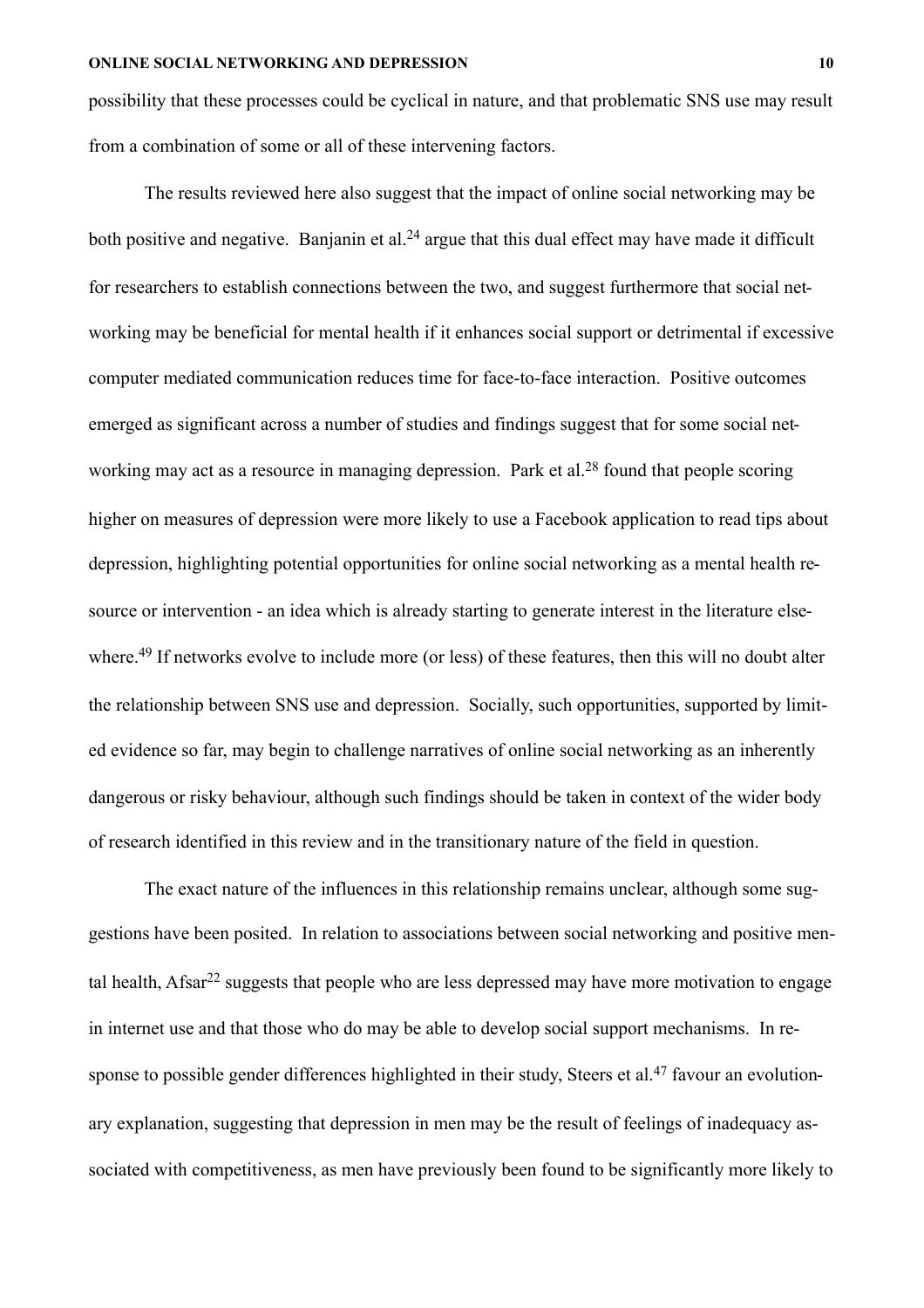possibility that these processes could be cyclical in nature, and that problematic SNS use may result from a combination of some or all of these intervening factors.

The results reviewed here also suggest that the impact of online social networking may be both positive and negative. Banjanin et al.<sup>24</sup> argue that this dual effect may have made it difficult for researchers to establish connections between the two, and suggest furthermore that social networking may be beneficial for mental health if it enhances social support or detrimental if excessive computer mediated communication reduces time for face-to-face interaction. Positive outcomes emerged as significant across a number of studies and findings suggest that for some social networking may act as a resource in managing depression. Park et al.<sup>28</sup> found that people scoring higher on measures of depression were more likely to use a Facebook application to read tips about depression, highlighting potential opportunities for online social networking as a mental health resource or intervention - an idea which is already starting to generate interest in the literature elsewhere.<sup>49</sup> If networks evolve to include more (or less) of these features, then this will no doubt alter the relationship between SNS use and depression. Socially, such opportunities, supported by limited evidence so far, may begin to challenge narratives of online social networking as an inherently dangerous or risky behaviour, although such findings should be taken in context of the wider body of research identified in this review and in the transitionary nature of the field in question.

The exact nature of the influences in this relationship remains unclear, although some suggestions have been posited. In relation to associations between social networking and positive mental health. Afsar<sup>22</sup> suggests that people who are less depressed may have more motivation to engage in internet use and that those who do may be able to develop social support mechanisms. In response to possible gender differences highlighted in their study, Steers et al.<sup>47</sup> favour an evolutionary explanation, suggesting that depression in men may be the result of feelings of inadequacy associated with competitiveness, as men have previously been found to be significantly more likely to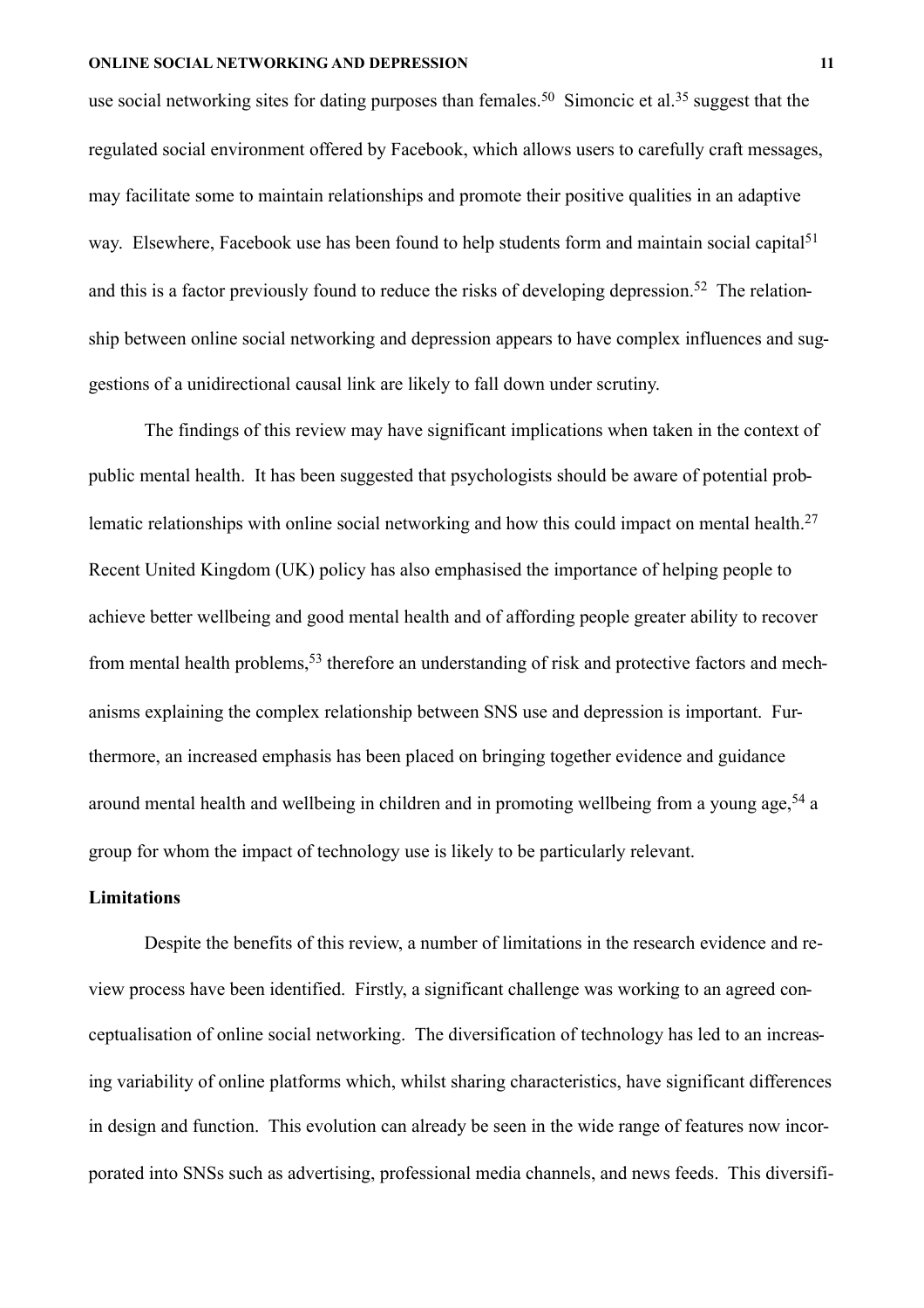use social networking sites for dating purposes than females.<sup>50</sup> Simoncic et al.<sup>35</sup> suggest that the regulated social environment offered by Facebook, which allows users to carefully craft messages, may facilitate some to maintain relationships and promote their positive qualities in an adaptive way. Elsewhere, Facebook use has been found to help students form and maintain social capital<sup>51</sup> and this is a factor previously found to reduce the risks of developing depression.<sup>52</sup> The relationship between online social networking and depression appears to have complex influences and suggestions of a unidirectional causal link are likely to fall down under scrutiny.

The findings of this review may have significant implications when taken in the context of public mental health. It has been suggested that psychologists should be aware of potential problematic relationships with online social networking and how this could impact on mental health.<sup>27</sup> Recent United Kingdom (UK) policy has also emphasised the importance of helping people to achieve better wellbeing and good mental health and of affording people greater ability to recover from mental health problems,<sup>53</sup> therefore an understanding of risk and protective factors and mechanisms explaining the complex relationship between SNS use and depression is important. Furthermore, an increased emphasis has been placed on bringing together evidence and guidance around mental health and wellbeing in children and in promoting wellbeing from a young age,  $54$  a group for whom the impact of technology use is likely to be particularly relevant.

## **Limitations**

Despite the benefits of this review, a number of limitations in the research evidence and review process have been identified. Firstly, a significant challenge was working to an agreed conceptualisation of online social networking. The diversification of technology has led to an increasing variability of online platforms which, whilst sharing characteristics, have significant differences in design and function. This evolution can already be seen in the wide range of features now incorporated into SNSs such as advertising, professional media channels, and news feeds. This diversifi-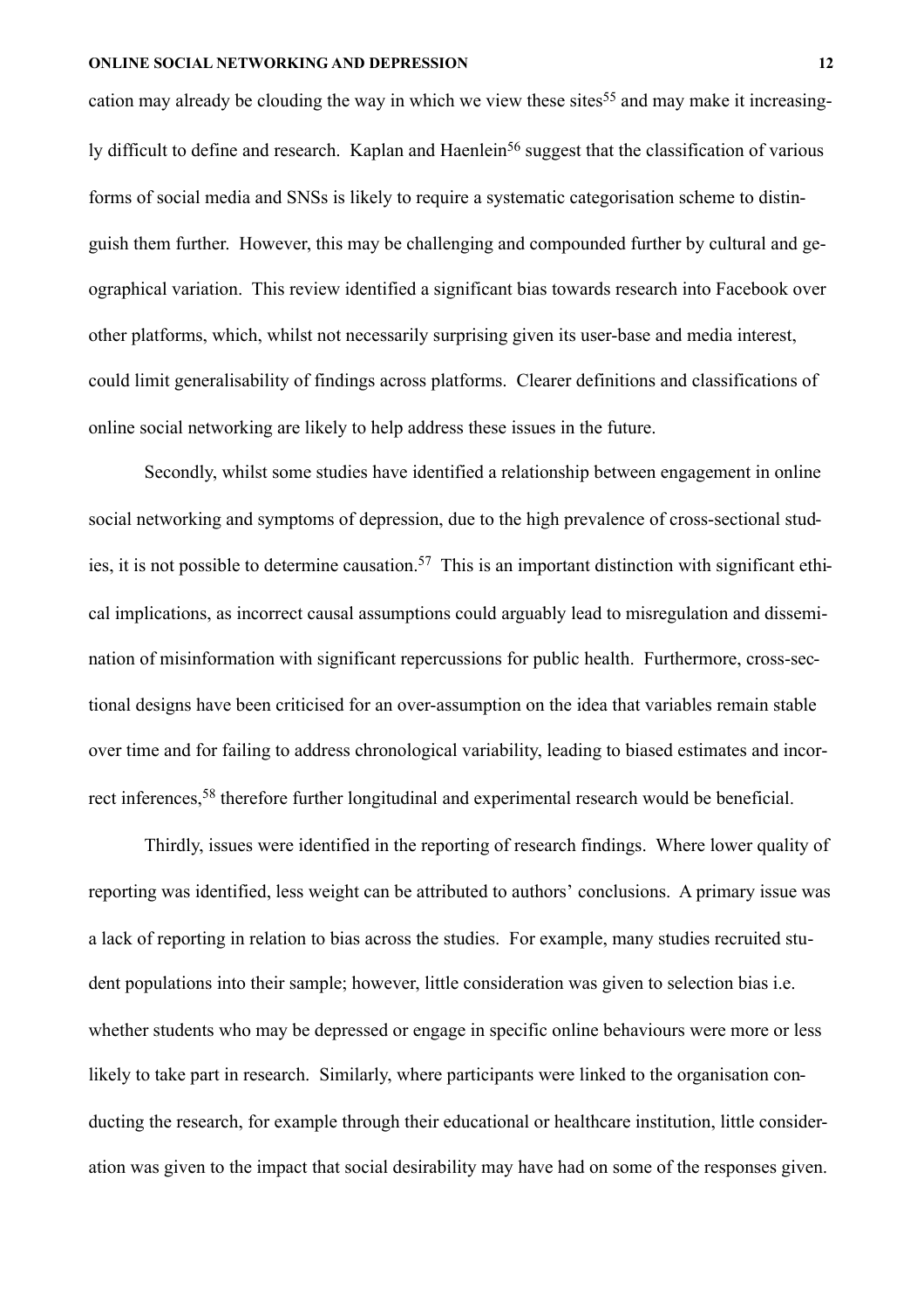cation may already be clouding the way in which we view these sites<sup>55</sup> and may make it increasingly difficult to define and research. Kaplan and Haenlein<sup>56</sup> suggest that the classification of various forms of social media and SNSs is likely to require a systematic categorisation scheme to distinguish them further. However, this may be challenging and compounded further by cultural and geographical variation. This review identified a significant bias towards research into Facebook over other platforms, which, whilst not necessarily surprising given its user-base and media interest, could limit generalisability of findings across platforms. Clearer definitions and classifications of online social networking are likely to help address these issues in the future.

Secondly, whilst some studies have identified a relationship between engagement in online social networking and symptoms of depression, due to the high prevalence of cross-sectional studies, it is not possible to determine causation.<sup>57</sup> This is an important distinction with significant ethical implications, as incorrect causal assumptions could arguably lead to misregulation and dissemination of misinformation with significant repercussions for public health. Furthermore, cross-sectional designs have been criticised for an over-assumption on the idea that variables remain stable over time and for failing to address chronological variability, leading to biased estimates and incorrect inferences,58 therefore further longitudinal and experimental research would be beneficial.

Thirdly, issues were identified in the reporting of research findings. Where lower quality of reporting was identified, less weight can be attributed to authors' conclusions. A primary issue was a lack of reporting in relation to bias across the studies. For example, many studies recruited student populations into their sample; however, little consideration was given to selection bias i.e. whether students who may be depressed or engage in specific online behaviours were more or less likely to take part in research. Similarly, where participants were linked to the organisation conducting the research, for example through their educational or healthcare institution, little consideration was given to the impact that social desirability may have had on some of the responses given.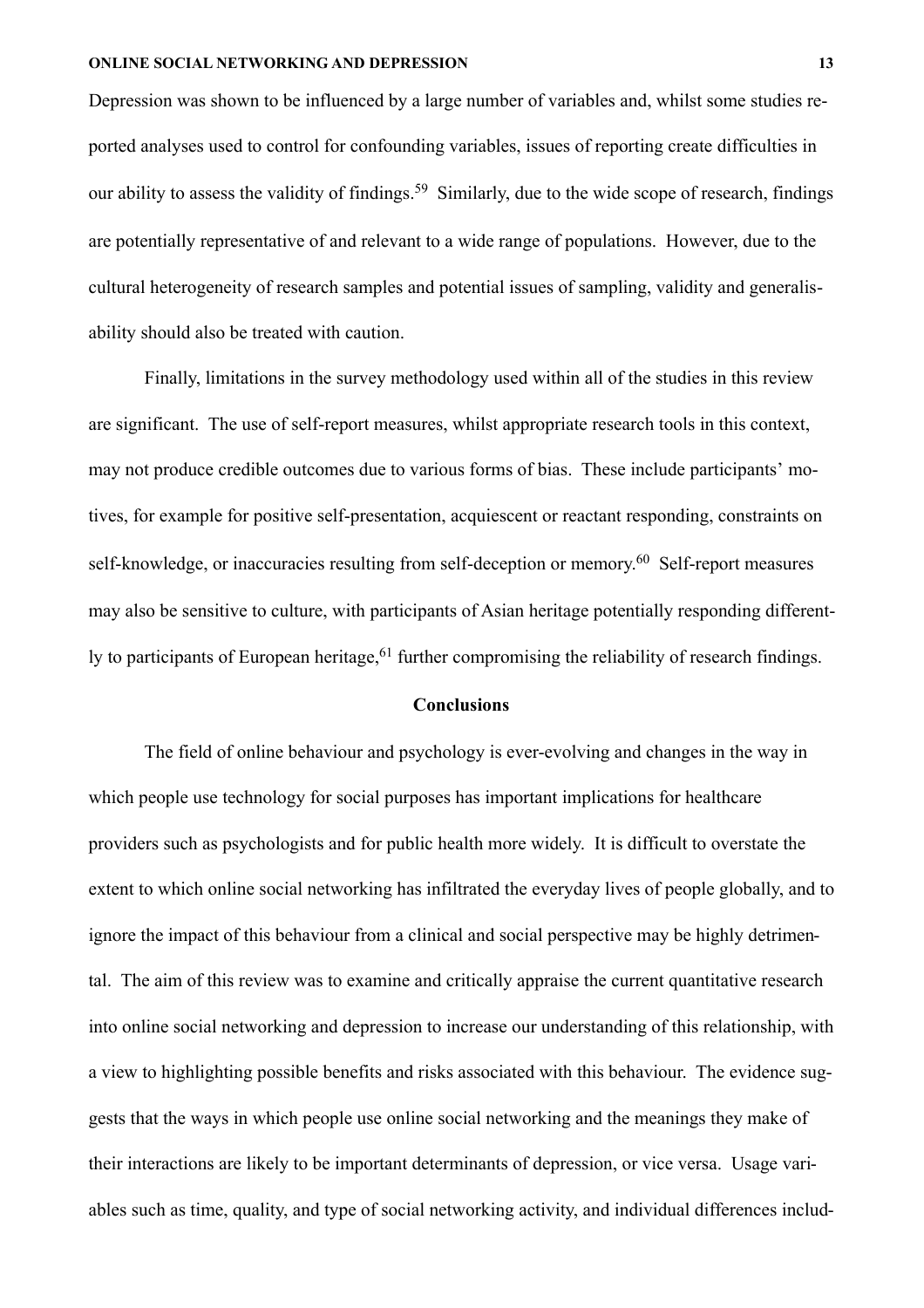Depression was shown to be influenced by a large number of variables and, whilst some studies reported analyses used to control for confounding variables, issues of reporting create difficulties in our ability to assess the validity of findings.<sup>59</sup> Similarly, due to the wide scope of research, findings are potentially representative of and relevant to a wide range of populations. However, due to the cultural heterogeneity of research samples and potential issues of sampling, validity and generalisability should also be treated with caution.

Finally, limitations in the survey methodology used within all of the studies in this review are significant. The use of self-report measures, whilst appropriate research tools in this context, may not produce credible outcomes due to various forms of bias. These include participants' motives, for example for positive self-presentation, acquiescent or reactant responding, constraints on self-knowledge, or inaccuracies resulting from self-deception or memory.<sup>60</sup> Self-report measures may also be sensitive to culture, with participants of Asian heritage potentially responding differently to participants of European heritage,<sup>61</sup> further compromising the reliability of research findings.

#### **Conclusions**

 The field of online behaviour and psychology is ever-evolving and changes in the way in which people use technology for social purposes has important implications for healthcare providers such as psychologists and for public health more widely. It is difficult to overstate the extent to which online social networking has infiltrated the everyday lives of people globally, and to ignore the impact of this behaviour from a clinical and social perspective may be highly detrimental. The aim of this review was to examine and critically appraise the current quantitative research into online social networking and depression to increase our understanding of this relationship, with a view to highlighting possible benefits and risks associated with this behaviour. The evidence suggests that the ways in which people use online social networking and the meanings they make of their interactions are likely to be important determinants of depression, or vice versa. Usage variables such as time, quality, and type of social networking activity, and individual differences includ-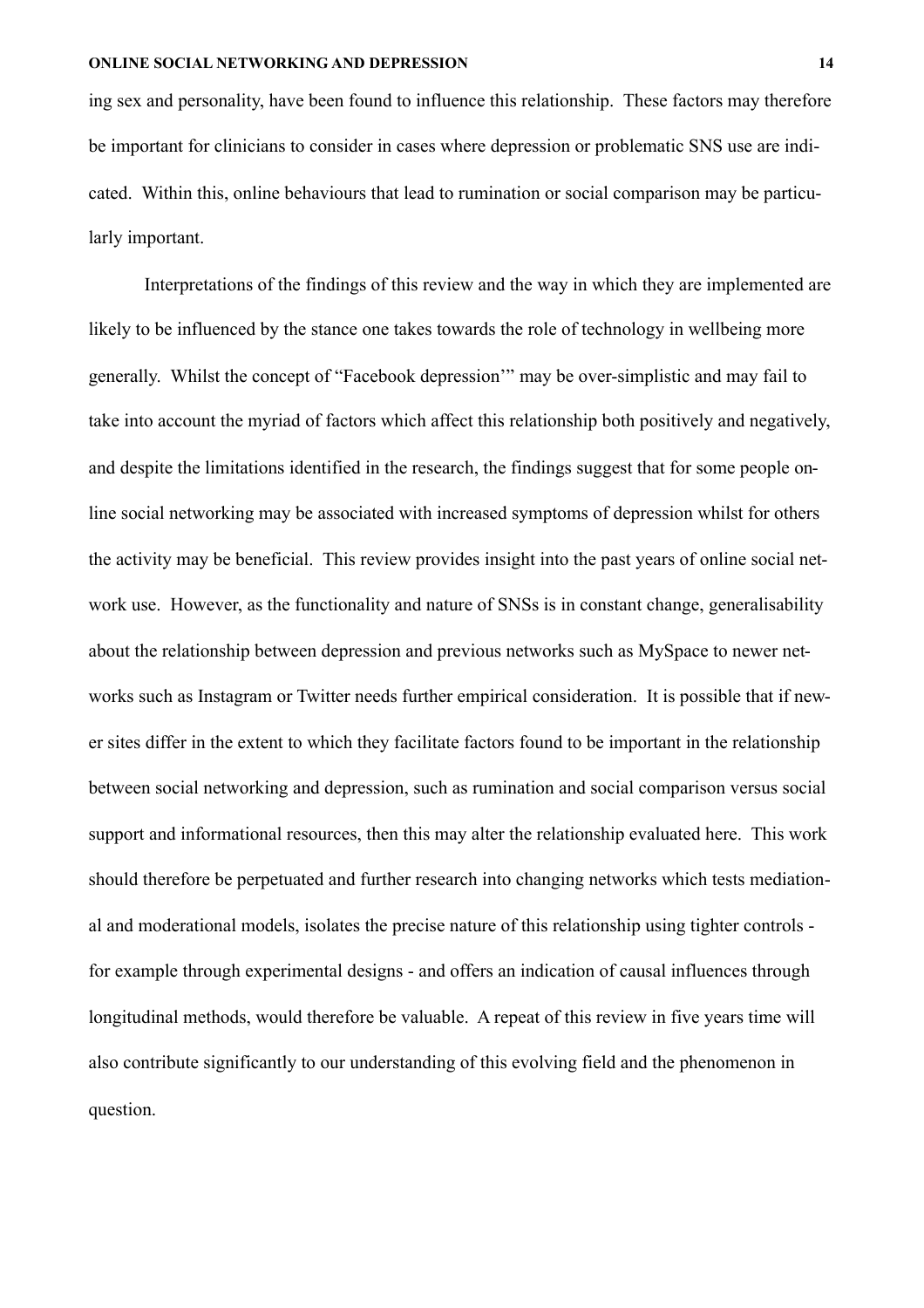ing sex and personality, have been found to influence this relationship. These factors may therefore be important for clinicians to consider in cases where depression or problematic SNS use are indicated. Within this, online behaviours that lead to rumination or social comparison may be particularly important.

Interpretations of the findings of this review and the way in which they are implemented are likely to be influenced by the stance one takes towards the role of technology in wellbeing more generally. Whilst the concept of "Facebook depression'" may be over-simplistic and may fail to take into account the myriad of factors which affect this relationship both positively and negatively, and despite the limitations identified in the research, the findings suggest that for some people online social networking may be associated with increased symptoms of depression whilst for others the activity may be beneficial. This review provides insight into the past years of online social network use. However, as the functionality and nature of SNSs is in constant change, generalisability about the relationship between depression and previous networks such as MySpace to newer networks such as Instagram or Twitter needs further empirical consideration. It is possible that if newer sites differ in the extent to which they facilitate factors found to be important in the relationship between social networking and depression, such as rumination and social comparison versus social support and informational resources, then this may alter the relationship evaluated here. This work should therefore be perpetuated and further research into changing networks which tests mediational and moderational models, isolates the precise nature of this relationship using tighter controls for example through experimental designs - and offers an indication of causal influences through longitudinal methods, would therefore be valuable. A repeat of this review in five years time will also contribute significantly to our understanding of this evolving field and the phenomenon in question.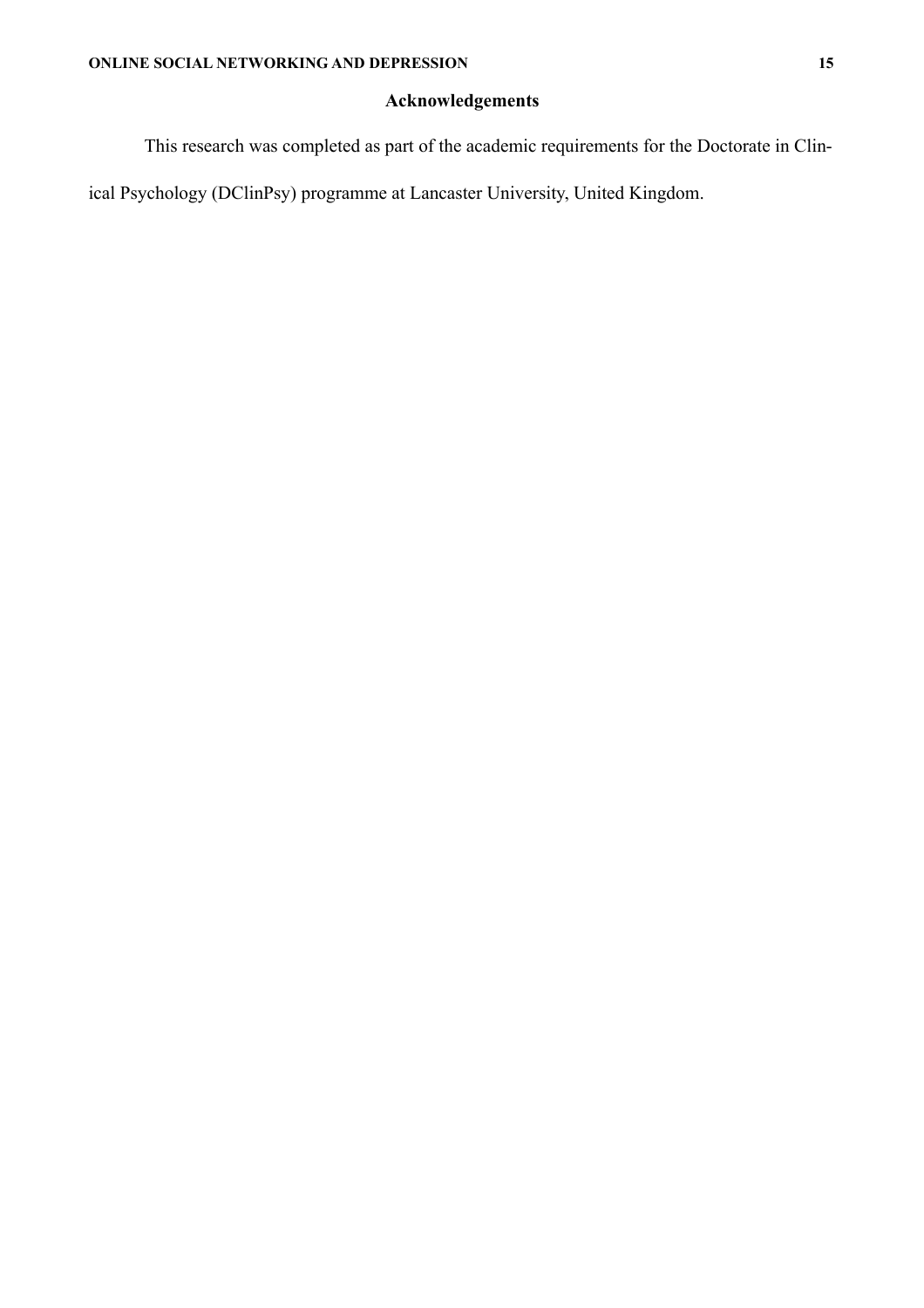# **Acknowledgements**

This research was completed as part of the academic requirements for the Doctorate in Clin-

ical Psychology (DClinPsy) programme at Lancaster University, United Kingdom.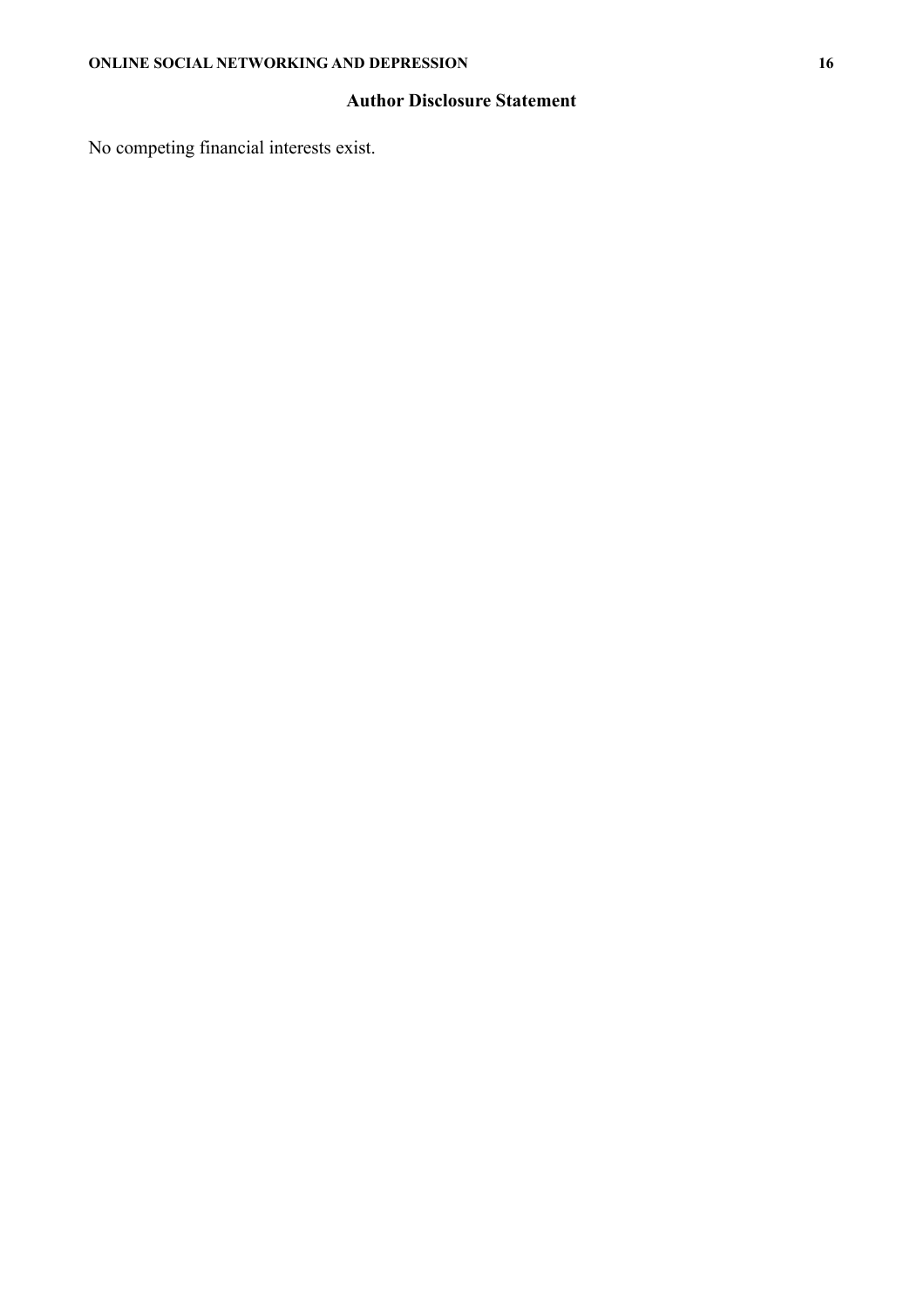# **Author Disclosure Statement**

No competing financial interests exist.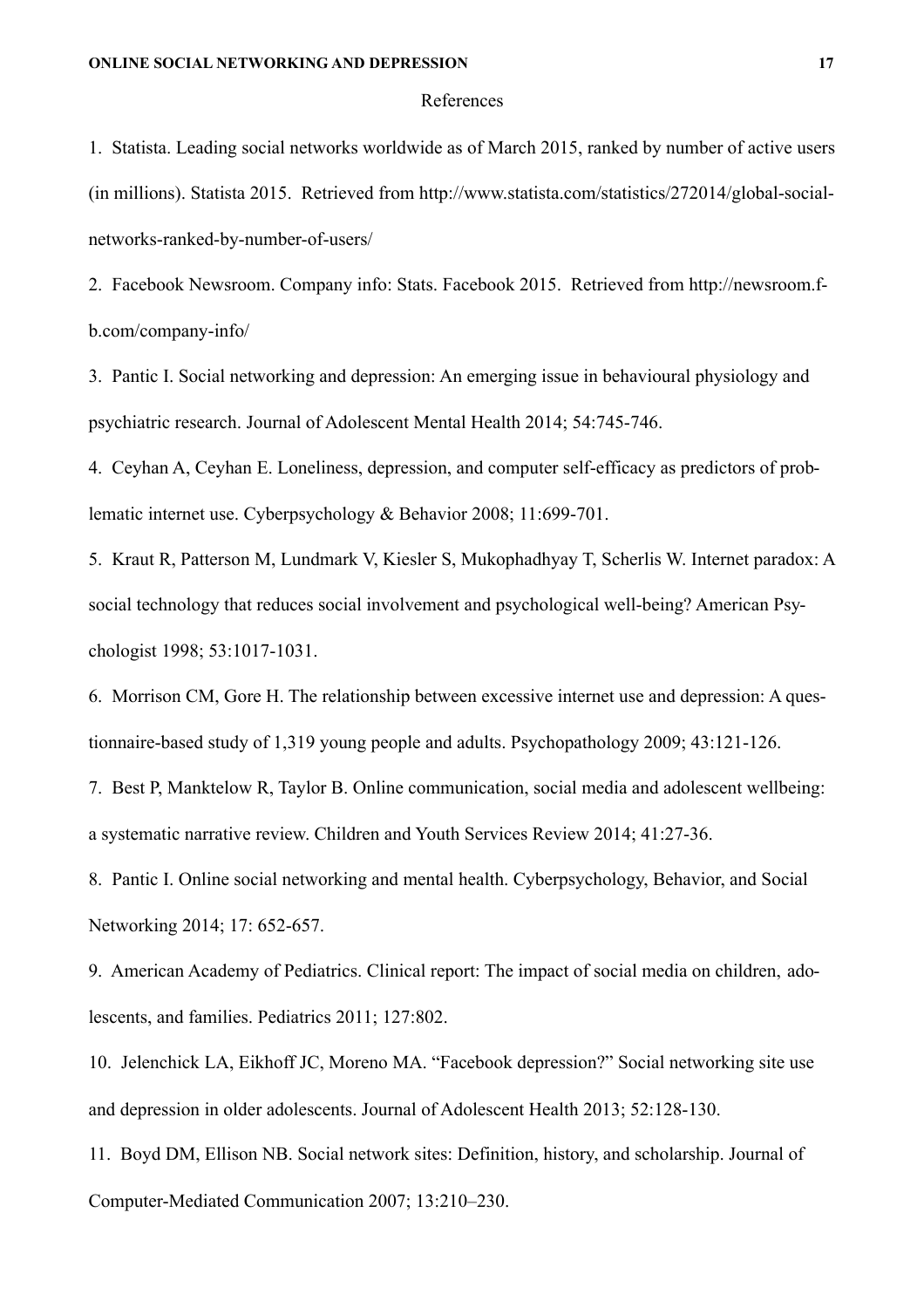#### References

1. Statista. Leading social networks worldwide as of March 2015, ranked by number of active users (in millions). Statista 2015. Retrieved from http://www.statista.com/statistics/272014/global-socialnetworks-ranked-by-number-of-users/

2. Facebook Newsroom. Company info: Stats. Facebook 2015. Retrieved from http://newsroom.fb.com/company-info/

3. Pantic I. Social networking and depression: An emerging issue in behavioural physiology and psychiatric research. Journal of Adolescent Mental Health 2014; 54:745-746.

4. Ceyhan A, Ceyhan E. Loneliness, depression, and computer self-efficacy as predictors of problematic internet use. Cyberpsychology & Behavior 2008; 11:699-701.

5. Kraut R, Patterson M, Lundmark V, Kiesler S, Mukophadhyay T, Scherlis W. Internet paradox: A social technology that reduces social involvement and psychological well-being? American Psychologist 1998; 53:1017-1031.

6. Morrison CM, Gore H. The relationship between excessive internet use and depression: A questionnaire-based study of 1,319 young people and adults. Psychopathology 2009; 43:121-126.

7. Best P, Manktelow R, Taylor B. Online communication, social media and adolescent wellbeing: a systematic narrative review. Children and Youth Services Review 2014; 41:27-36.

8. Pantic I. Online social networking and mental health. Cyberpsychology, Behavior, and Social Networking 2014; 17: 652-657.

9. American Academy of Pediatrics. Clinical report: The impact of social media on children, adolescents, and families. Pediatrics 2011; 127:802.

10. Jelenchick LA, Eikhoff JC, Moreno MA. "Facebook depression?" Social networking site use and depression in older adolescents. Journal of Adolescent Health 2013; 52:128-130.

11. Boyd DM, Ellison NB. Social network sites: Definition, history, and scholarship. Journal of Computer-Mediated Communication 2007; 13:210–230.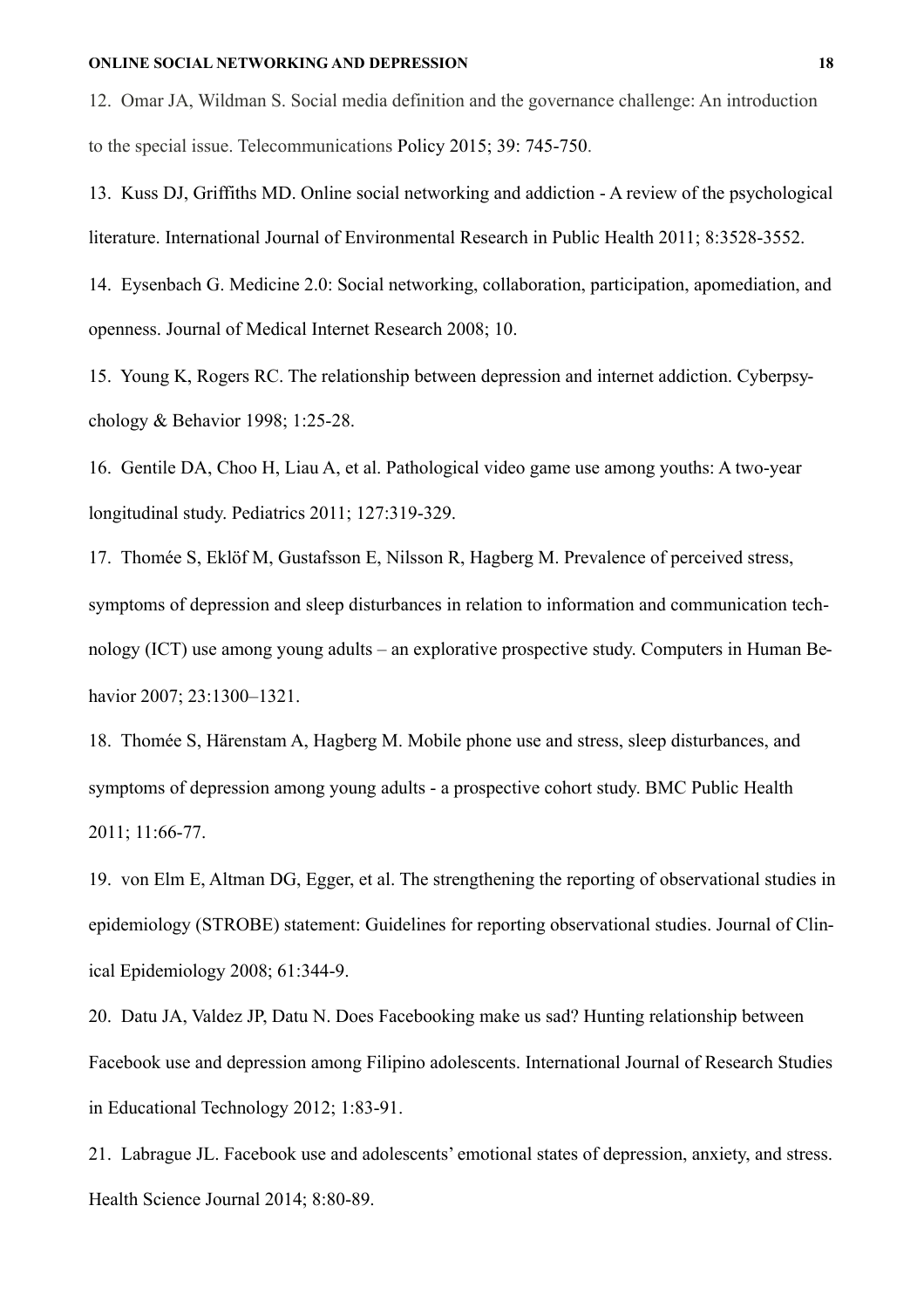12. Omar JA, Wildman S. Social media definition and the governance challenge: An introduction to the special issue. Telecommunications Policy 2015; 39: 745-750.

13. Kuss DJ, Griffiths MD. Online social networking and addiction - A review of the psychological literature. International Journal of Environmental Research in Public Health 2011; 8:3528-3552.

14. Eysenbach G. Medicine 2.0: Social networking, collaboration, participation, apomediation, and openness. Journal of Medical Internet Research 2008; 10.

15. Young K, Rogers RC. The relationship between depression and internet addiction. Cyberpsychology & Behavior 1998; 1:25-28.

16. Gentile DA, Choo H, Liau A, et al. Pathological video game use among youths: A two-year longitudinal study. Pediatrics 2011; 127:319-329.

17. Thomée S, Eklöf M, Gustafsson E, Nilsson R, Hagberg M. Prevalence of perceived stress, symptoms of depression and sleep disturbances in relation to information and communication technology (ICT) use among young adults – an explorative prospective study. Computers in Human Behavior 2007; 23:1300–1321.

18. Thomée S, Härenstam A, Hagberg M. Mobile phone use and stress, sleep disturbances, and symptoms of depression among young adults - a prospective cohort study. BMC Public Health 2011; 11:66-77.

19. von Elm E, Altman DG, Egger, et al. The strengthening the reporting of observational studies in epidemiology (STROBE) statement: Guidelines for reporting observational studies. Journal of Clinical Epidemiology 2008; 61:344-9.

20. Datu JA, Valdez JP, Datu N. Does Facebooking make us sad? Hunting relationship between Facebook use and depression among Filipino adolescents. International Journal of Research Studies in Educational Technology 2012; 1:83-91.

21. Labrague JL. Facebook use and adolescents' emotional states of depression, anxiety, and stress. Health Science Journal 2014; 8:80-89.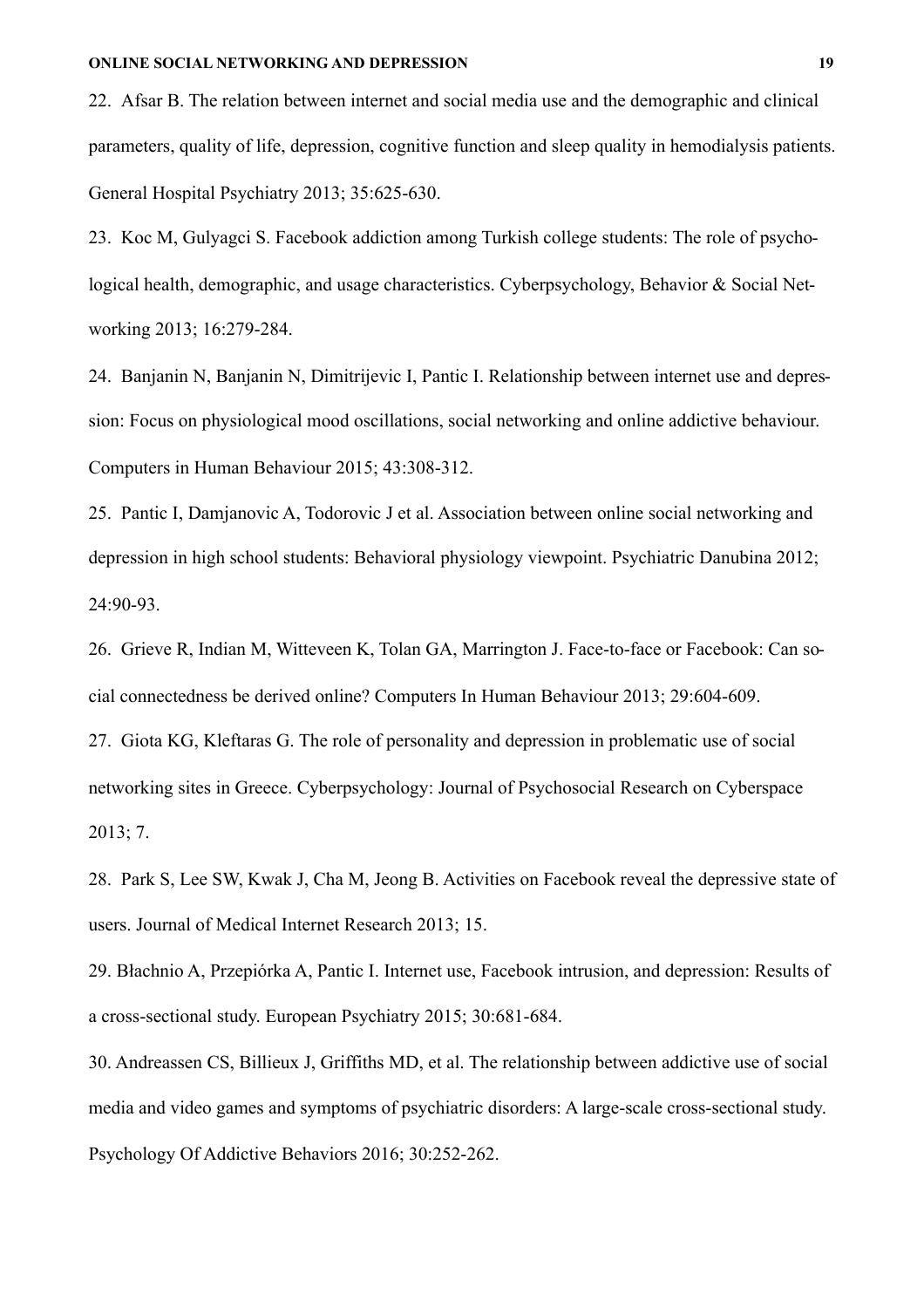22. Afsar B. The relation between internet and social media use and the demographic and clinical parameters, quality of life, depression, cognitive function and sleep quality in hemodialysis patients. General Hospital Psychiatry 2013; 35:625-630.

23. Koc M, Gulyagci S. Facebook addiction among Turkish college students: The role of psychological health, demographic, and usage characteristics. Cyberpsychology, Behavior & Social Networking 2013; 16:279-284.

24. Banjanin N, Banjanin N, Dimitrijevic I, Pantic I. Relationship between internet use and depression: Focus on physiological mood oscillations, social networking and online addictive behaviour. Computers in Human Behaviour 2015; 43:308-312.

25. Pantic I, Damjanovic A, Todorovic J et al. Association between online social networking and depression in high school students: Behavioral physiology viewpoint. Psychiatric Danubina 2012; 24:90-93.

26. Grieve R, Indian M, Witteveen K, Tolan GA, Marrington J. Face-to-face or Facebook: Can social connectedness be derived online? Computers In Human Behaviour 2013; 29:604-609.

27. Giota KG, Kleftaras G. The role of personality and depression in problematic use of social networking sites in Greece. Cyberpsychology: Journal of Psychosocial Research on Cyberspace 2013; 7.

28. Park S, Lee SW, Kwak J, Cha M, Jeong B. Activities on Facebook reveal the depressive state of users. Journal of Medical Internet Research 2013; 15.

29. Błachnio A, Przepiórka A, Pantic I. Internet use, Facebook intrusion, and depression: Results of a cross-sectional study. European Psychiatry 2015; 30:681-684.

30. Andreassen CS, Billieux J, Griffiths MD, et al. The relationship between addictive use of social media and video games and symptoms of psychiatric disorders: A large-scale cross-sectional study. Psychology Of Addictive Behaviors 2016; 30:252-262.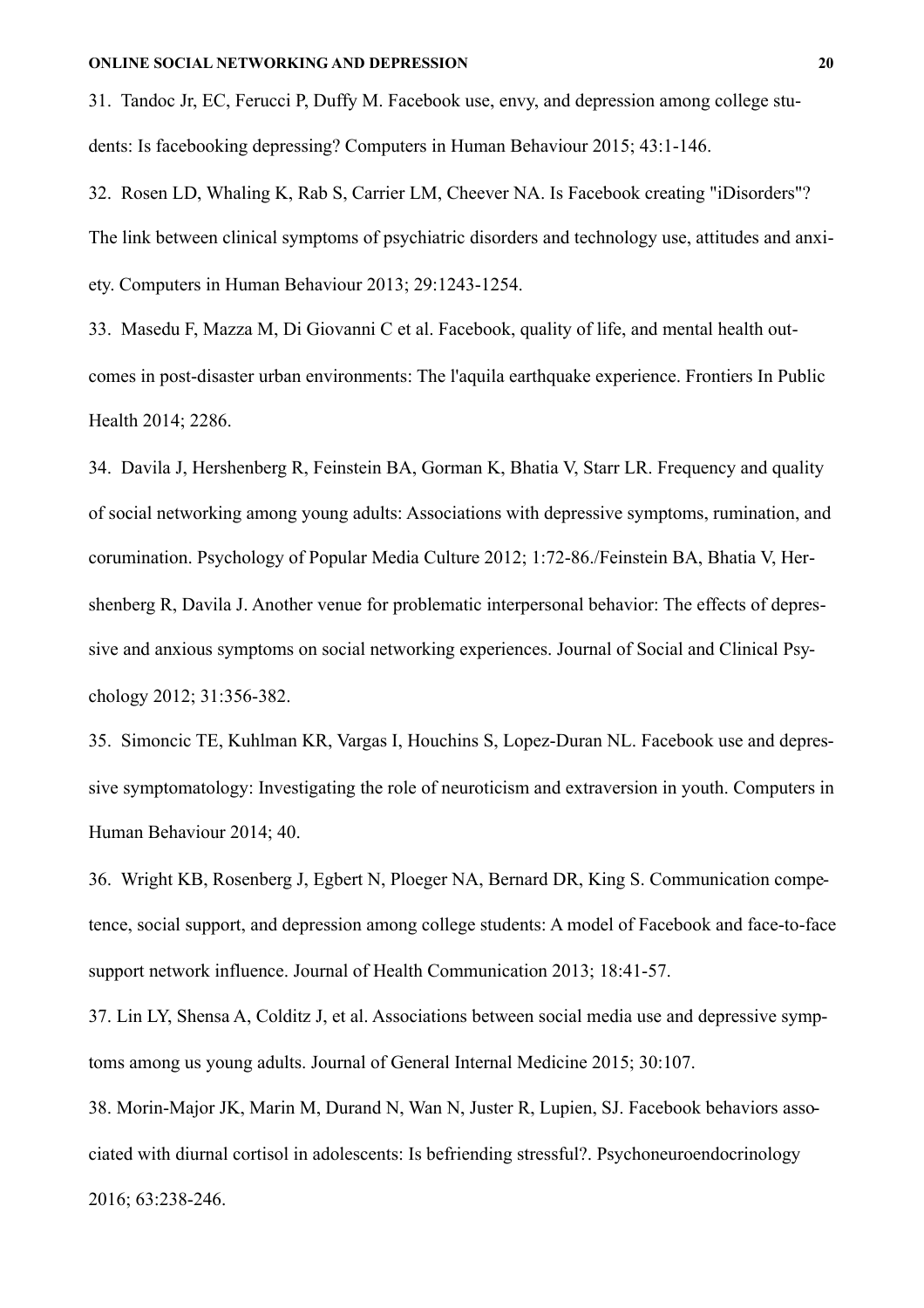31. Tandoc Jr, EC, Ferucci P, Duffy M. Facebook use, envy, and depression among college students: Is facebooking depressing? Computers in Human Behaviour 2015; 43:1-146.

32. Rosen LD, Whaling K, Rab S, Carrier LM, Cheever NA. Is Facebook creating "iDisorders"? The link between clinical symptoms of psychiatric disorders and technology use, attitudes and anxiety. Computers in Human Behaviour 2013; 29:1243-1254.

33. Masedu F, Mazza M, Di Giovanni C et al. Facebook, quality of life, and mental health outcomes in post-disaster urban environments: The l'aquila earthquake experience. Frontiers In Public Health 2014; 2286.

34. Davila J, Hershenberg R, Feinstein BA, Gorman K, Bhatia V, Starr LR. Frequency and quality of social networking among young adults: Associations with depressive symptoms, rumination, and corumination. Psychology of Popular Media Culture 2012; 1:72-86./Feinstein BA, Bhatia V, Hershenberg R, Davila J. Another venue for problematic interpersonal behavior: The effects of depressive and anxious symptoms on social networking experiences. Journal of Social and Clinical Psychology 2012; 31:356-382.

35. Simoncic TE, Kuhlman KR, Vargas I, Houchins S, Lopez-Duran NL. Facebook use and depressive symptomatology: Investigating the role of neuroticism and extraversion in youth. Computers in Human Behaviour 2014; 40.

36. Wright KB, Rosenberg J, Egbert N, Ploeger NA, Bernard DR, King S. Communication competence, social support, and depression among college students: A model of Facebook and face-to-face support network influence. Journal of Health Communication 2013; 18:41-57.

37. Lin LY, Shensa A, Colditz J, et al. Associations between social media use and depressive symptoms among us young adults. Journal of General Internal Medicine 2015; 30:107.

38. Morin-Major JK, Marin M, Durand N, Wan N, Juster R, Lupien, SJ. Facebook behaviors associated with diurnal cortisol in adolescents: Is befriending stressful?. Psychoneuroendocrinology 2016; 63:238-246.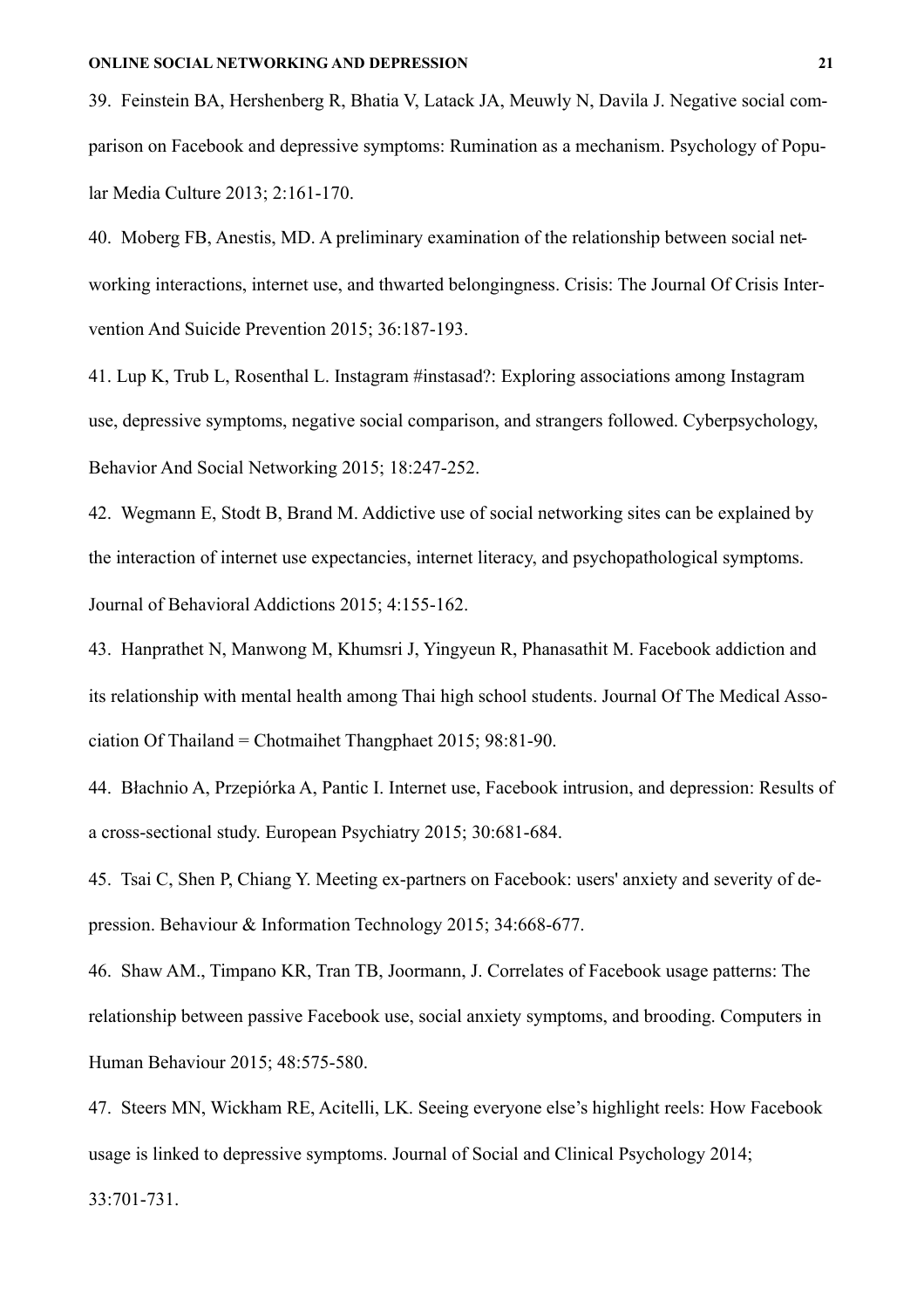39. Feinstein BA, Hershenberg R, Bhatia V, Latack JA, Meuwly N, Davila J. Negative social comparison on Facebook and depressive symptoms: Rumination as a mechanism. Psychology of Popular Media Culture 2013; 2:161-170.

40. Moberg FB, Anestis, MD. A preliminary examination of the relationship between social networking interactions, internet use, and thwarted belongingness. Crisis: The Journal Of Crisis Intervention And Suicide Prevention 2015; 36:187-193.

41. Lup K, Trub L, Rosenthal L. Instagram #instasad?: Exploring associations among Instagram use, depressive symptoms, negative social comparison, and strangers followed. Cyberpsychology, Behavior And Social Networking 2015; 18:247-252.

42. Wegmann E, Stodt B, Brand M. Addictive use of social networking sites can be explained by the interaction of internet use expectancies, internet literacy, and psychopathological symptoms. Journal of Behavioral Addictions 2015; 4:155-162.

43. Hanprathet N, Manwong M, Khumsri J, Yingyeun R, Phanasathit M. Facebook addiction and its relationship with mental health among Thai high school students. Journal Of The Medical Association Of Thailand = Chotmaihet Thangphaet 2015; 98:81-90.

44. Błachnio A, Przepiórka A, Pantic I. Internet use, Facebook intrusion, and depression: Results of a cross-sectional study. European Psychiatry 2015; 30:681-684.

45. Tsai C, Shen P, Chiang Y. Meeting ex-partners on Facebook: users' anxiety and severity of depression. Behaviour & Information Technology 2015; 34:668-677.

46. Shaw AM., Timpano KR, Tran TB, Joormann, J. Correlates of Facebook usage patterns: The relationship between passive Facebook use, social anxiety symptoms, and brooding. Computers in Human Behaviour 2015; 48:575-580.

47. Steers MN, Wickham RE, Acitelli, LK. Seeing everyone else's highlight reels: How Facebook usage is linked to depressive symptoms. Journal of Social and Clinical Psychology 2014;

33:701-731.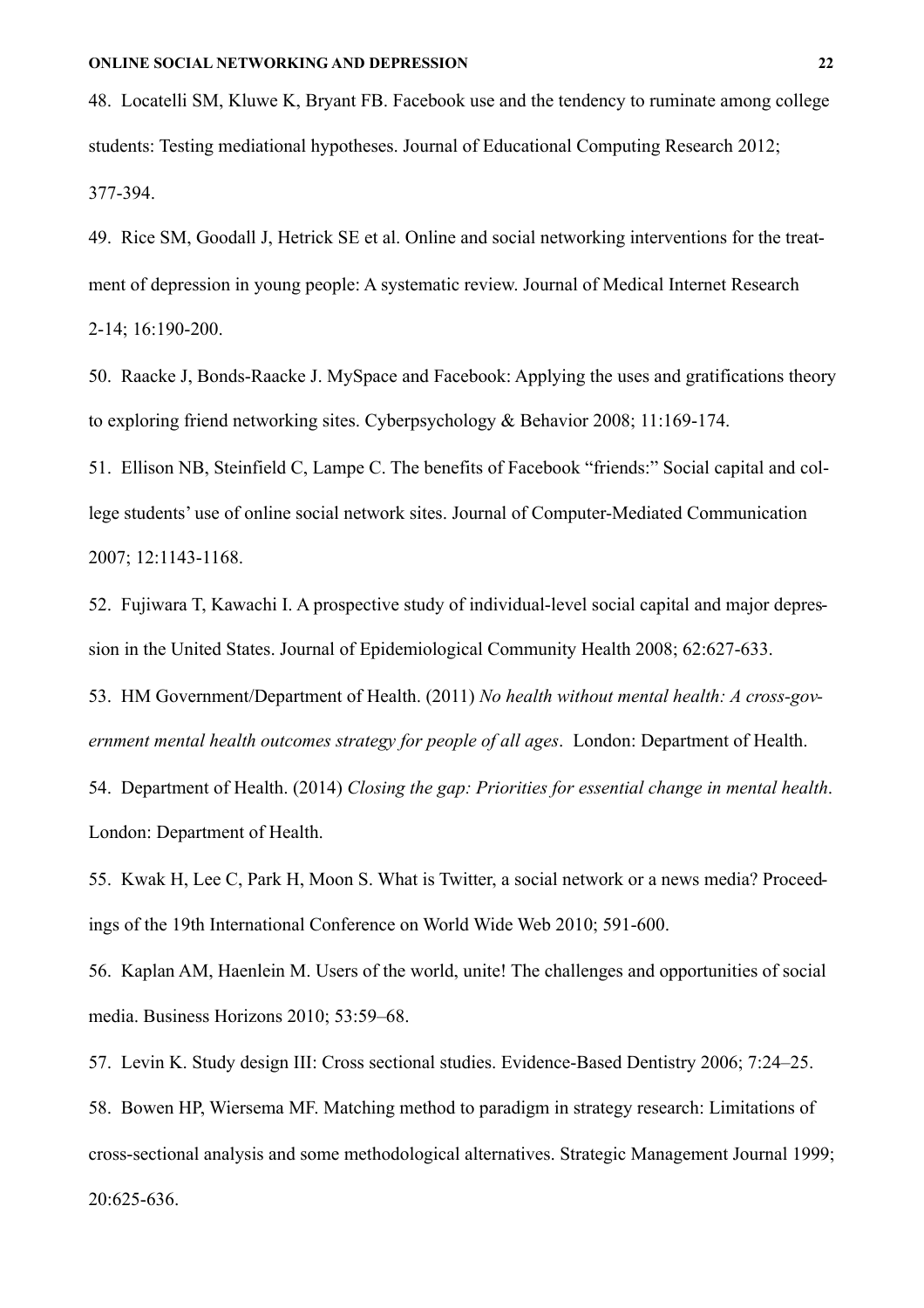48. Locatelli SM, Kluwe K, Bryant FB. Facebook use and the tendency to ruminate among college students: Testing mediational hypotheses. Journal of Educational Computing Research 2012; 377-394.

49. Rice SM, Goodall J, Hetrick SE et al. Online and social networking interventions for the treatment of depression in young people: A systematic review. Journal of Medical Internet Research 2-14; 16:190-200.

50. Raacke J, Bonds-Raacke J. MySpace and Facebook: Applying the uses and gratifications theory to exploring friend networking sites. Cyberpsychology & Behavior 2008; 11:169-174.

51. Ellison NB, Steinfield C, Lampe C. The benefits of Facebook "friends:" Social capital and college students' use of online social network sites. Journal of Computer-Mediated Communication 2007; 12:1143-1168.

52. Fujiwara T, Kawachi I. A prospective study of individual-level social capital and major depression in the United States. Journal of Epidemiological Community Health 2008; 62:627-633.

53. HM Government/Department of Health. (2011) *No health without mental health: A cross-government mental health outcomes strategy for people of all ages*. London: Department of Health.

54. Department of Health. (2014) *Closing the gap: Priorities for essential change in mental health*. London: Department of Health.

55. Kwak H, Lee C, Park H, Moon S. What is Twitter, a social network or a news media? Proceedings of the 19th International Conference on World Wide Web 2010; 591-600.

56. Kaplan AM, Haenlein M. Users of the world, unite! The challenges and opportunities of social media. Business Horizons 2010; 53:59–68.

57. Levin K. Study design III: Cross sectional studies. Evidence-Based Dentistry 2006; 7:24–25.

58. Bowen HP, Wiersema MF. Matching method to paradigm in strategy research: Limitations of cross-sectional analysis and some methodological alternatives. Strategic Management Journal 1999; 20:625-636.